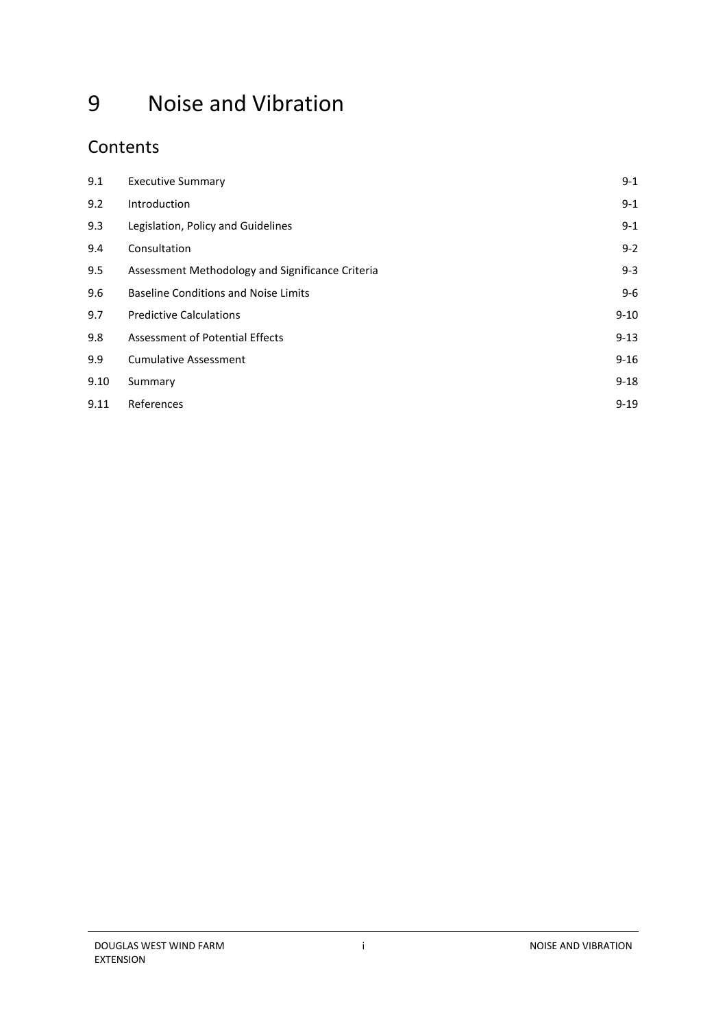# 9 Noise and Vibration

# **Contents**

| 9.1  | <b>Executive Summary</b>                         | $9 - 1$  |
|------|--------------------------------------------------|----------|
| 9.2  | Introduction                                     | $9 - 1$  |
| 9.3  | Legislation, Policy and Guidelines               | $9-1$    |
| 9.4  | Consultation                                     | $9 - 2$  |
| 9.5  | Assessment Methodology and Significance Criteria | $9 - 3$  |
| 9.6  | <b>Baseline Conditions and Noise Limits</b>      | $9 - 6$  |
| 9.7  | <b>Predictive Calculations</b>                   | $9 - 10$ |
| 9.8  | Assessment of Potential Effects                  | $9 - 13$ |
| 9.9  | <b>Cumulative Assessment</b>                     | $9 - 16$ |
| 9.10 | Summary                                          | $9 - 18$ |
| 9.11 | References                                       | $9 - 19$ |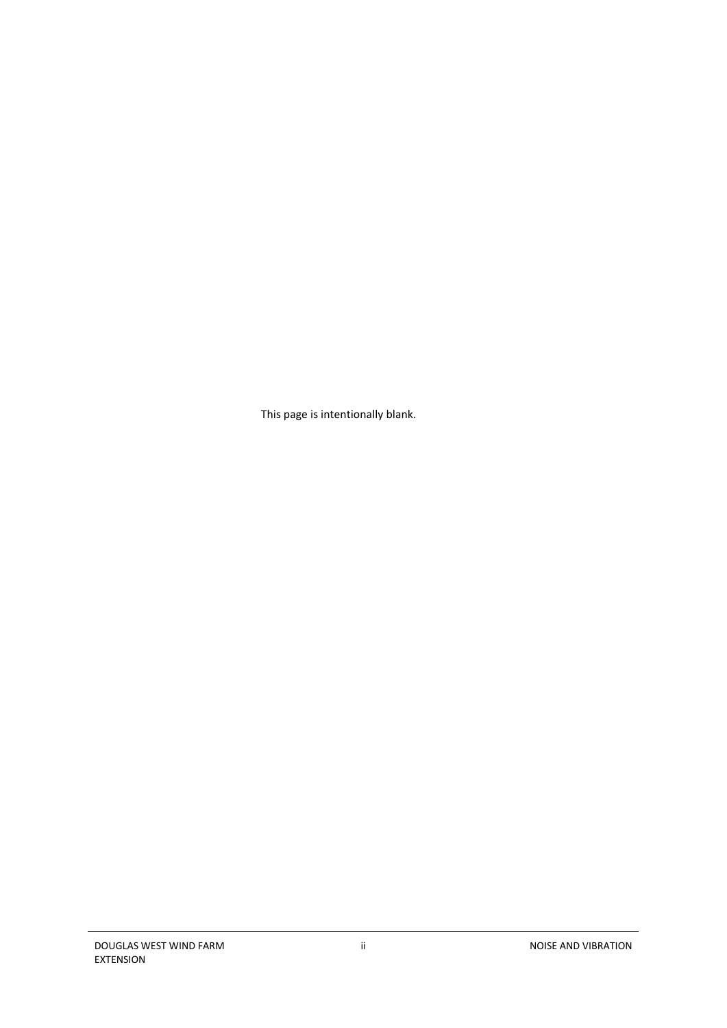This page is intentionally blank.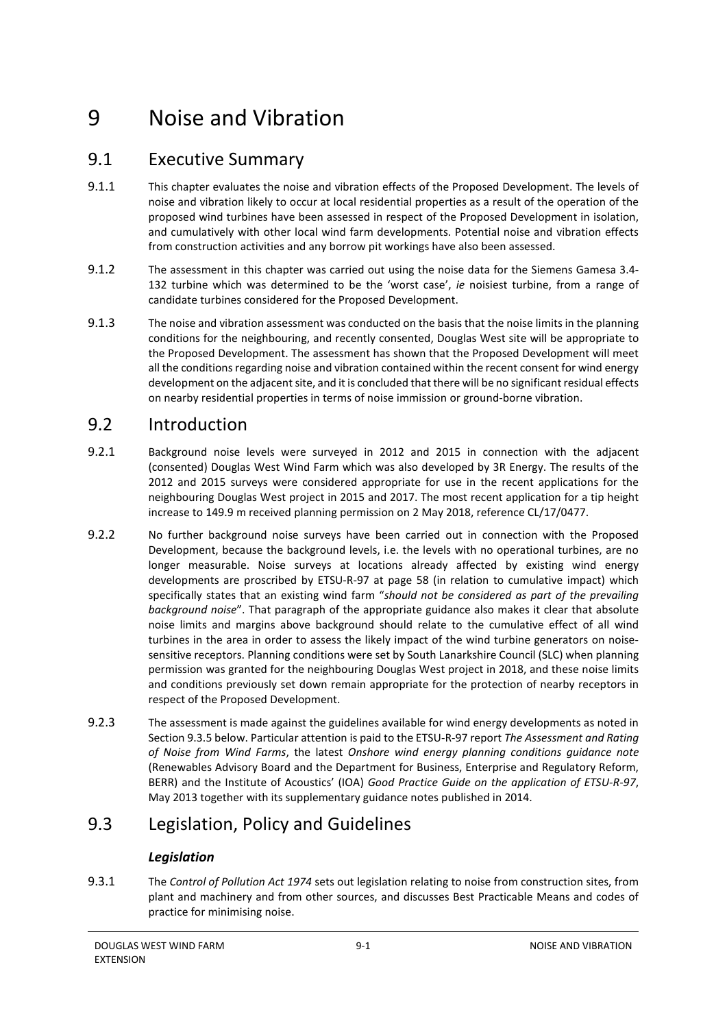# 9 Noise and Vibration

# <span id="page-2-0"></span>9.1 Executive Summary

- 9.1.1 This chapter evaluates the noise and vibration effects of the Proposed Development. The levels of noise and vibration likely to occur at local residential properties as a result of the operation of the proposed wind turbines have been assessed in respect of the Proposed Development in isolation, and cumulatively with other local wind farm developments. Potential noise and vibration effects from construction activities and any borrow pit workings have also been assessed.
- 9.1.2 The assessment in this chapter was carried out using the noise data for the Siemens Gamesa 3.4- 132 turbine which was determined to be the 'worst case', *ie* noisiest turbine, from a range of candidate turbines considered for the Proposed Development.
- 9.1.3 The noise and vibration assessment was conducted on the basis that the noise limits in the planning conditions for the neighbouring, and recently consented, Douglas West site will be appropriate to the Proposed Development. The assessment has shown that the Proposed Development will meet all the conditions regarding noise and vibration contained within the recent consent for wind energy development on the adjacent site, and it is concluded that there will be no significant residual effects on nearby residential properties in terms of noise immission or ground-borne vibration.

# <span id="page-2-1"></span>9.2 Introduction

- 9.2.1 Background noise levels were surveyed in 2012 and 2015 in connection with the adjacent (consented) Douglas West Wind Farm which was also developed by 3R Energy. The results of the 2012 and 2015 surveys were considered appropriate for use in the recent applications for the neighbouring Douglas West project in 2015 and 2017. The most recent application for a tip height increase to 149.9 m received planning permission on 2 May 2018, reference CL/17/0477.
- 9.2.2 No further background noise surveys have been carried out in connection with the Proposed Development, because the background levels, i.e. the levels with no operational turbines, are no longer measurable. Noise surveys at locations already affected by existing wind energy developments are proscribed by ETSU-R-97 at page 58 (in relation to cumulative impact) which specifically states that an existing wind farm "*should not be considered as part of the prevailing background noise*". That paragraph of the appropriate guidance also makes it clear that absolute noise limits and margins above background should relate to the cumulative effect of all wind turbines in the area in order to assess the likely impact of the wind turbine generators on noisesensitive receptors. Planning conditions were set by South Lanarkshire Council (SLC) when planning permission was granted for the neighbouring Douglas West project in 2018, and these noise limits and conditions previously set down remain appropriate for the protection of nearby receptors in respect of the Proposed Development.
- 9.2.3 The assessment is made against the guidelines available for wind energy developments as noted in Section 9.3.5 below. Particular attention is paid to the ETSU-R-97 report *The Assessment and Rating of Noise from Wind Farms*, the latest *Onshore wind energy planning conditions guidance note* (Renewables Advisory Board and the Department for Business, Enterprise and Regulatory Reform, BERR) and the Institute of Acoustics' (IOA) *Good Practice Guide on the application of ETSU-R-97*, May 2013 together with its supplementary guidance notes published in 2014.

# <span id="page-2-2"></span>9.3 Legislation, Policy and Guidelines

# *Legislation*

9.3.1 The *Control of Pollution Act 1974* sets out legislation relating to noise from construction sites, from plant and machinery and from other sources, and discusses Best Practicable Means and codes of practice for minimising noise.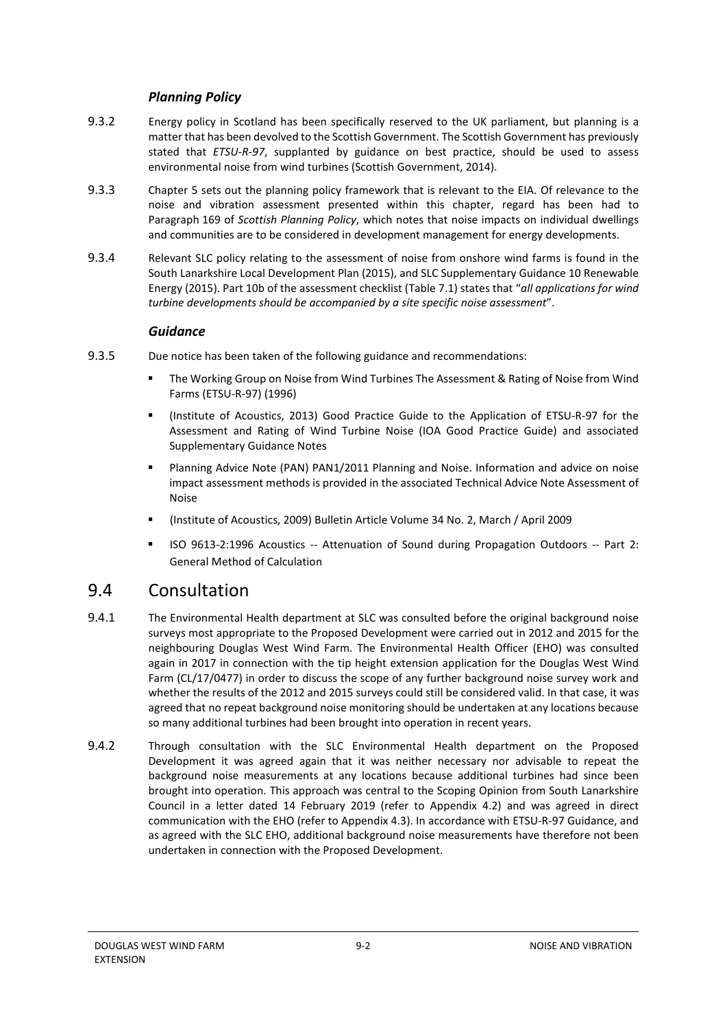## *Planning Policy*

- 9.3.2 Energy policy in Scotland has been specifically reserved to the UK parliament, but planning is a matter that has been devolved to the Scottish Government. The Scottish Government has previously stated that *ETSU-R-97*, supplanted by guidance on best practice, should be used to assess environmental noise from wind turbines (Scottish Government, 2014).
- 9.3.3 Chapter 5 sets out the planning policy framework that is relevant to the EIA. Of relevance to the noise and vibration assessment presented within this chapter, regard has been had to Paragraph 169 of *Scottish Planning Policy*, which notes that noise impacts on individual dwellings and communities are to be considered in development management for energy developments.
- 9.3.4 Relevant SLC policy relating to the assessment of noise from onshore wind farms is found in the South Lanarkshire Local Development Plan (2015), and SLC Supplementary Guidance 10 Renewable Energy (2015). Part 10b of the assessment checklist (Table 7.1) states that "*all applications for wind turbine developments should be accompanied by a site specific noise assessment*".

#### *Guidance*

- 9.3.5 Due notice has been taken of the following guidance and recommendations:
	- **The Working Group on Noise from Wind Turbines The Assessment & Rating of Noise from Wind** Farms (ETSU-R-97) (1996)
	- (Institute of Acoustics, 2013) Good Practice Guide to the Application of ETSU-R-97 for the Assessment and Rating of Wind Turbine Noise (IOA Good Practice Guide) and associated Supplementary Guidance Notes
	- **Planning Advice Note (PAN) PAN1/2011 Planning and Noise. Information and advice on noise** impact assessment methods is provided in the associated Technical Advice Note Assessment of Noise
	- (Institute of Acoustics, 2009) Bulletin Article Volume 34 No. 2, March / April 2009
	- ISO 9613-2:1996 Acoustics -- Attenuation of Sound during Propagation Outdoors -- Part 2: General Method of Calculation

# <span id="page-3-0"></span>9.4 Consultation

- 9.4.1 The Environmental Health department at SLC was consulted before the original background noise surveys most appropriate to the Proposed Development were carried out in 2012 and 2015 for the neighbouring Douglas West Wind Farm. The Environmental Health Officer (EHO) was consulted again in 2017 in connection with the tip height extension application for the Douglas West Wind Farm (CL/17/0477) in order to discuss the scope of any further background noise survey work and whether the results of the 2012 and 2015 surveys could still be considered valid. In that case, it was agreed that no repeat background noise monitoring should be undertaken at any locations because so many additional turbines had been brought into operation in recent years.
- <span id="page-3-1"></span>9.4.2 Through consultation with the SLC Environmental Health department on the Proposed Development it was agreed again that it was neither necessary nor advisable to repeat the background noise measurements at any locations because additional turbines had since been brought into operation. This approach was central to the Scoping Opinion from South Lanarkshire Council in a letter dated 14 February 2019 (refer to Appendix 4.2) and was agreed in direct communication with the EHO (refer to Appendix 4.3). In accordance with ETSU-R-97 Guidance, and as agreed with the SLC EHO, additional background noise measurements have therefore not been undertaken in connection with the Proposed Development.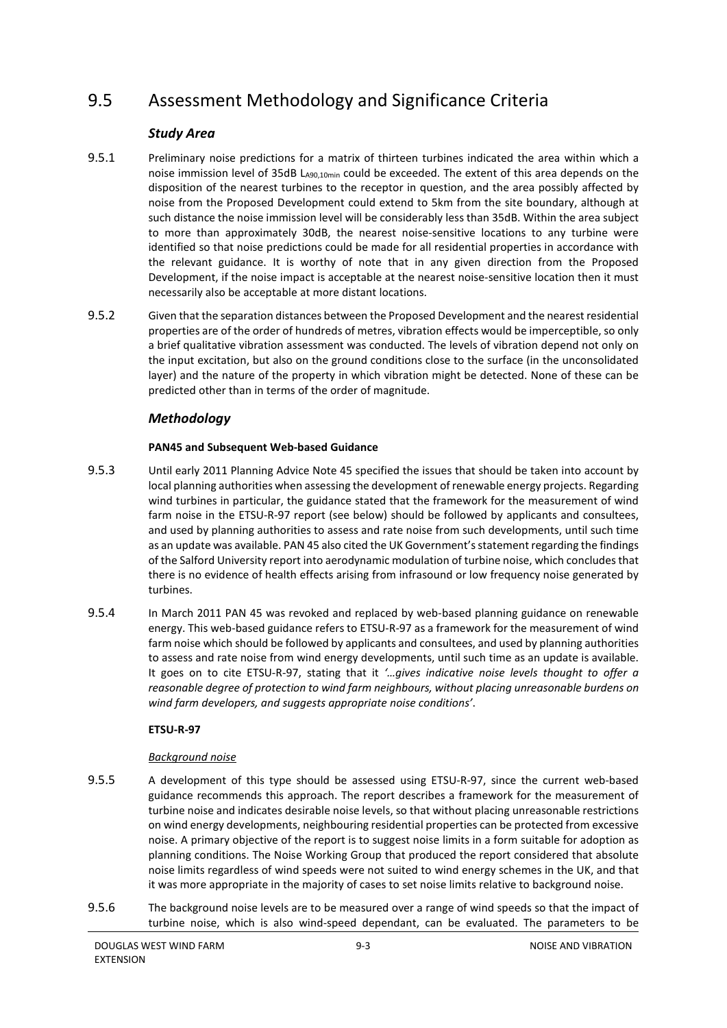# 9.5 Assessment Methodology and Significance Criteria

#### *Study Area*

- 9.5.1 Preliminary noise predictions for a matrix of thirteen turbines indicated the area within which a noise immission level of 35dB LA90,10min could be exceeded. The extent of this area depends on the disposition of the nearest turbines to the receptor in question, and the area possibly affected by noise from the Proposed Development could extend to 5km from the site boundary, although at such distance the noise immission level will be considerably less than 35dB. Within the area subject to more than approximately 30dB, the nearest noise-sensitive locations to any turbine were identified so that noise predictions could be made for all residential properties in accordance with the relevant guidance. It is worthy of note that in any given direction from the Proposed Development, if the noise impact is acceptable at the nearest noise-sensitive location then it must necessarily also be acceptable at more distant locations.
- 9.5.2 Given that the separation distances between the Proposed Development and the nearest residential properties are of the order of hundreds of metres, vibration effects would be imperceptible, so only a brief qualitative vibration assessment was conducted. The levels of vibration depend not only on the input excitation, but also on the ground conditions close to the surface (in the unconsolidated layer) and the nature of the property in which vibration might be detected. None of these can be predicted other than in terms of the order of magnitude.

## *Methodology*

#### **PAN45 and Subsequent Web-based Guidance**

- 9.5.3 Until early 2011 Planning Advice Note 45 specified the issues that should be taken into account by local planning authorities when assessing the development of renewable energy projects. Regarding wind turbines in particular, the guidance stated that the framework for the measurement of wind farm noise in the ETSU-R-97 report (see below) should be followed by applicants and consultees, and used by planning authorities to assess and rate noise from such developments, until such time as an update was available. PAN 45 also cited the UK Government's statement regarding the findings of the Salford University report into aerodynamic modulation of turbine noise, which concludes that there is no evidence of health effects arising from infrasound or low frequency noise generated by turbines.
- 9.5.4 In March 2011 PAN 45 was revoked and replaced by web-based planning guidance on renewable energy. This web-based guidance refers to ETSU-R-97 as a framework for the measurement of wind farm noise which should be followed by applicants and consultees, and used by planning authorities to assess and rate noise from wind energy developments, until such time as an update is available. It goes on to cite ETSU-R-97, stating that it *'…gives indicative noise levels thought to offer a reasonable degree of protection to wind farm neighbours, without placing unreasonable burdens on wind farm developers, and suggests appropriate noise conditions'*.

#### **ETSU-R-97**

#### *Background noise*

- 9.5.5 A development of this type should be assessed using ETSU-R-97, since the current web-based guidance recommends this approach. The report describes a framework for the measurement of turbine noise and indicates desirable noise levels, so that without placing unreasonable restrictions on wind energy developments, neighbouring residential properties can be protected from excessive noise. A primary objective of the report is to suggest noise limits in a form suitable for adoption as planning conditions. The Noise Working Group that produced the report considered that absolute noise limits regardless of wind speeds were not suited to wind energy schemes in the UK, and that it was more appropriate in the majority of cases to set noise limits relative to background noise.
- 9.5.6 The background noise levels are to be measured over a range of wind speeds so that the impact of turbine noise, which is also wind-speed dependant, can be evaluated. The parameters to be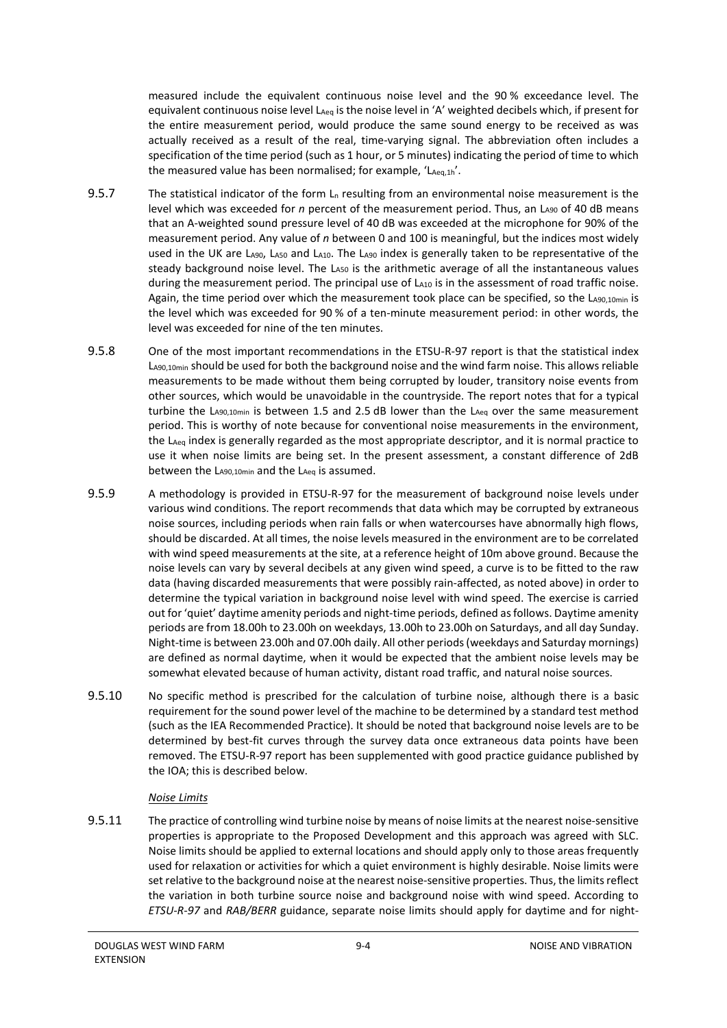measured include the equivalent continuous noise level and the 90 % exceedance level. The equivalent continuous noise level LAeq is the noise level in 'A' weighted decibels which, if present for the entire measurement period, would produce the same sound energy to be received as was actually received as a result of the real, time-varying signal. The abbreviation often includes a specification of the time period (such as 1 hour, or 5 minutes) indicating the period of time to which the measured value has been normalised; for example, 'LAeq,1h'.

- 9.5.7 The statistical indicator of the form  $L_n$  resulting from an environmental noise measurement is the level which was exceeded for *n* percent of the measurement period. Thus, an L<sub>A90</sub> of 40 dB means that an A-weighted sound pressure level of 40 dB was exceeded at the microphone for 90% of the measurement period. Any value of *n* between 0 and 100 is meaningful, but the indices most widely used in the UK are LA90, LA50 and LA10. The LA90 index is generally taken to be representative of the steady background noise level. The  $L_{A50}$  is the arithmetic average of all the instantaneous values during the measurement period. The principal use of L<sub>A10</sub> is in the assessment of road traffic noise. Again, the time period over which the measurement took place can be specified, so the  $L_{A90,10min}$  is the level which was exceeded for 90 % of a ten-minute measurement period: in other words, the level was exceeded for nine of the ten minutes.
- 9.5.8 One of the most important recommendations in the ETSU-R-97 report is that the statistical index LA90,10min should be used for both the background noise and the wind farm noise. This allows reliable measurements to be made without them being corrupted by louder, transitory noise events from other sources, which would be unavoidable in the countryside. The report notes that for a typical turbine the LA90,10min is between 1.5 and 2.5 dB lower than the LAeq over the same measurement period. This is worthy of note because for conventional noise measurements in the environment, the L<sub>Aeg</sub> index is generally regarded as the most appropriate descriptor, and it is normal practice to use it when noise limits are being set. In the present assessment, a constant difference of 2dB between the LA90,10min and the LAeq is assumed.
- 9.5.9 A methodology is provided in ETSU-R-97 for the measurement of background noise levels under various wind conditions. The report recommends that data which may be corrupted by extraneous noise sources, including periods when rain falls or when watercourses have abnormally high flows, should be discarded. At all times, the noise levels measured in the environment are to be correlated with wind speed measurements at the site, at a reference height of 10m above ground. Because the noise levels can vary by several decibels at any given wind speed, a curve is to be fitted to the raw data (having discarded measurements that were possibly rain-affected, as noted above) in order to determine the typical variation in background noise level with wind speed. The exercise is carried out for 'quiet' daytime amenity periods and night-time periods, defined as follows. Daytime amenity periods are from 18.00h to 23.00h on weekdays, 13.00h to 23.00h on Saturdays, and all day Sunday. Night-time is between 23.00h and 07.00h daily. All other periods (weekdays and Saturday mornings) are defined as normal daytime, when it would be expected that the ambient noise levels may be somewhat elevated because of human activity, distant road traffic, and natural noise sources.
- 9.5.10 No specific method is prescribed for the calculation of turbine noise, although there is a basic requirement for the sound power level of the machine to be determined by a standard test method (such as the IEA Recommended Practice). It should be noted that background noise levels are to be determined by best-fit curves through the survey data once extraneous data points have been removed. The ETSU-R-97 report has been supplemented with good practice guidance published by the IOA; this is described below.

#### *Noise Limits*

9.5.11 The practice of controlling wind turbine noise by means of noise limits at the nearest noise-sensitive properties is appropriate to the Proposed Development and this approach was agreed with SLC. Noise limits should be applied to external locations and should apply only to those areas frequently used for relaxation or activities for which a quiet environment is highly desirable. Noise limits were set relative to the background noise at the nearest noise-sensitive properties. Thus, the limits reflect the variation in both turbine source noise and background noise with wind speed. According to *ETSU-R-97* and *RAB/BERR* guidance, separate noise limits should apply for daytime and for night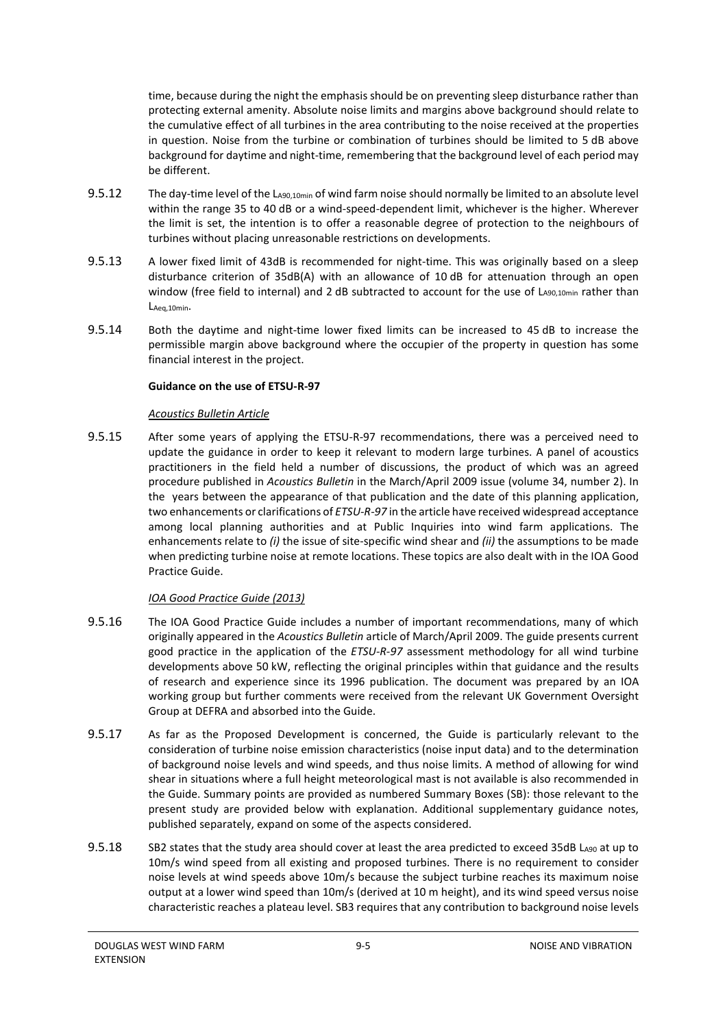time, because during the night the emphasis should be on preventing sleep disturbance rather than protecting external amenity. Absolute noise limits and margins above background should relate to the cumulative effect of all turbines in the area contributing to the noise received at the properties in question. Noise from the turbine or combination of turbines should be limited to 5 dB above background for daytime and night-time, remembering that the background level of each period may be different.

- 9.5.12 The day-time level of the LA90,10min of wind farm noise should normally be limited to an absolute level within the range 35 to 40 dB or a wind-speed-dependent limit, whichever is the higher. Wherever the limit is set, the intention is to offer a reasonable degree of protection to the neighbours of turbines without placing unreasonable restrictions on developments.
- 9.5.13 A lower fixed limit of 43dB is recommended for night-time. This was originally based on a sleep disturbance criterion of 35dB(A) with an allowance of 10 dB for attenuation through an open window (free field to internal) and 2 dB subtracted to account for the use of LA90,10min rather than LAeq,10min.
- 9.5.14 Both the daytime and night-time lower fixed limits can be increased to 45 dB to increase the permissible margin above background where the occupier of the property in question has some financial interest in the project.

#### **Guidance on the use of ETSU-R-97**

#### *Acoustics Bulletin Article*

9.5.15 After some years of applying the ETSU-R-97 recommendations, there was a perceived need to update the guidance in order to keep it relevant to modern large turbines. A panel of acoustics practitioners in the field held a number of discussions, the product of which was an agreed procedure published in *Acoustics Bulletin* in the March/April 2009 issue (volume 34, number 2). In the years between the appearance of that publication and the date of this planning application, two enhancements or clarifications of *ETSU-R-97* in the article have received widespread acceptance among local planning authorities and at Public Inquiries into wind farm applications. The enhancements relate to *(i)* the issue of site-specific wind shear and *(ii)* the assumptions to be made when predicting turbine noise at remote locations. These topics are also dealt with in the IOA Good Practice Guide.

#### *IOA Good Practice Guide (2013)*

- 9.5.16 The IOA Good Practice Guide includes a number of important recommendations, many of which originally appeared in the *Acoustics Bulletin* article of March/April 2009. The guide presents current good practice in the application of the *ETSU-R-97* assessment methodology for all wind turbine developments above 50 kW, reflecting the original principles within that guidance and the results of research and experience since its 1996 publication. The document was prepared by an IOA working group but further comments were received from the relevant UK Government Oversight Group at DEFRA and absorbed into the Guide.
- 9.5.17 As far as the Proposed Development is concerned, the Guide is particularly relevant to the consideration of turbine noise emission characteristics (noise input data) and to the determination of background noise levels and wind speeds, and thus noise limits. A method of allowing for wind shear in situations where a full height meteorological mast is not available is also recommended in the Guide. Summary points are provided as numbered Summary Boxes (SB): those relevant to the present study are provided below with explanation. Additional supplementary guidance notes, published separately, expand on some of the aspects considered.
- 9.5.18 SB2 states that the study area should cover at least the area predicted to exceed 35dB LA90 at up to 10m/s wind speed from all existing and proposed turbines. There is no requirement to consider noise levels at wind speeds above 10m/s because the subject turbine reaches its maximum noise output at a lower wind speed than 10m/s (derived at 10 m height), and its wind speed versus noise characteristic reaches a plateau level. SB3 requires that any contribution to background noise levels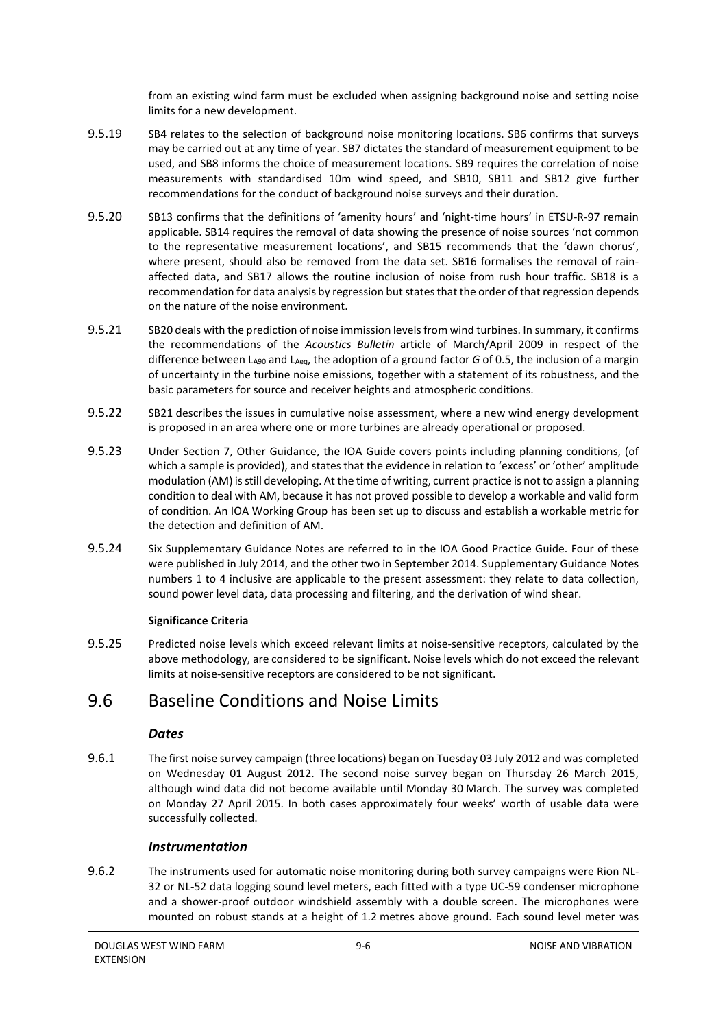from an existing wind farm must be excluded when assigning background noise and setting noise limits for a new development.

- 9.5.19 SB4 relates to the selection of background noise monitoring locations. SB6 confirms that surveys may be carried out at any time of year. SB7 dictates the standard of measurement equipment to be used, and SB8 informs the choice of measurement locations. SB9 requires the correlation of noise measurements with standardised 10m wind speed, and SB10, SB11 and SB12 give further recommendations for the conduct of background noise surveys and their duration.
- 9.5.20 SB13 confirms that the definitions of 'amenity hours' and 'night-time hours' in ETSU-R-97 remain applicable. SB14 requires the removal of data showing the presence of noise sources 'not common to the representative measurement locations', and SB15 recommends that the 'dawn chorus', where present, should also be removed from the data set. SB16 formalises the removal of rainaffected data, and SB17 allows the routine inclusion of noise from rush hour traffic. SB18 is a recommendation for data analysis by regression but states that the order of that regression depends on the nature of the noise environment.
- 9.5.21 SB20 deals with the prediction of noise immission levels from wind turbines. In summary, it confirms the recommendations of the *Acoustics Bulletin* article of March/April 2009 in respect of the difference between LA90 and LAeq, the adoption of a ground factor *G* of 0.5, the inclusion of a margin of uncertainty in the turbine noise emissions, together with a statement of its robustness, and the basic parameters for source and receiver heights and atmospheric conditions.
- 9.5.22 SB21 describes the issues in cumulative noise assessment, where a new wind energy development is proposed in an area where one or more turbines are already operational or proposed.
- 9.5.23 Under Section 7, Other Guidance, the IOA Guide covers points including planning conditions, (of which a sample is provided), and states that the evidence in relation to 'excess' or 'other' amplitude modulation (AM) is still developing. At the time of writing, current practice is not to assign a planning condition to deal with AM, because it has not proved possible to develop a workable and valid form of condition. An IOA Working Group has been set up to discuss and establish a workable metric for the detection and definition of AM.
- 9.5.24 Six Supplementary Guidance Notes are referred to in the IOA Good Practice Guide. Four of these were published in July 2014, and the other two in September 2014. Supplementary Guidance Notes numbers 1 to 4 inclusive are applicable to the present assessment: they relate to data collection, sound power level data, data processing and filtering, and the derivation of wind shear.

#### **Significance Criteria**

9.5.25 Predicted noise levels which exceed relevant limits at noise-sensitive receptors, calculated by the above methodology, are considered to be significant. Noise levels which do not exceed the relevant limits at noise-sensitive receptors are considered to be not significant.

# <span id="page-7-0"></span>9.6 Baseline Conditions and Noise Limits

### *Dates*

9.6.1 The first noise survey campaign (three locations) began on Tuesday 03 July 2012 and was completed on Wednesday 01 August 2012. The second noise survey began on Thursday 26 March 2015, although wind data did not become available until Monday 30 March. The survey was completed on Monday 27 April 2015. In both cases approximately four weeks' worth of usable data were successfully collected.

### *Instrumentation*

9.6.2 The instruments used for automatic noise monitoring during both survey campaigns were Rion NL-32 or NL-52 data logging sound level meters, each fitted with a type UC-59 condenser microphone and a shower-proof outdoor windshield assembly with a double screen. The microphones were mounted on robust stands at a height of 1.2 metres above ground. Each sound level meter was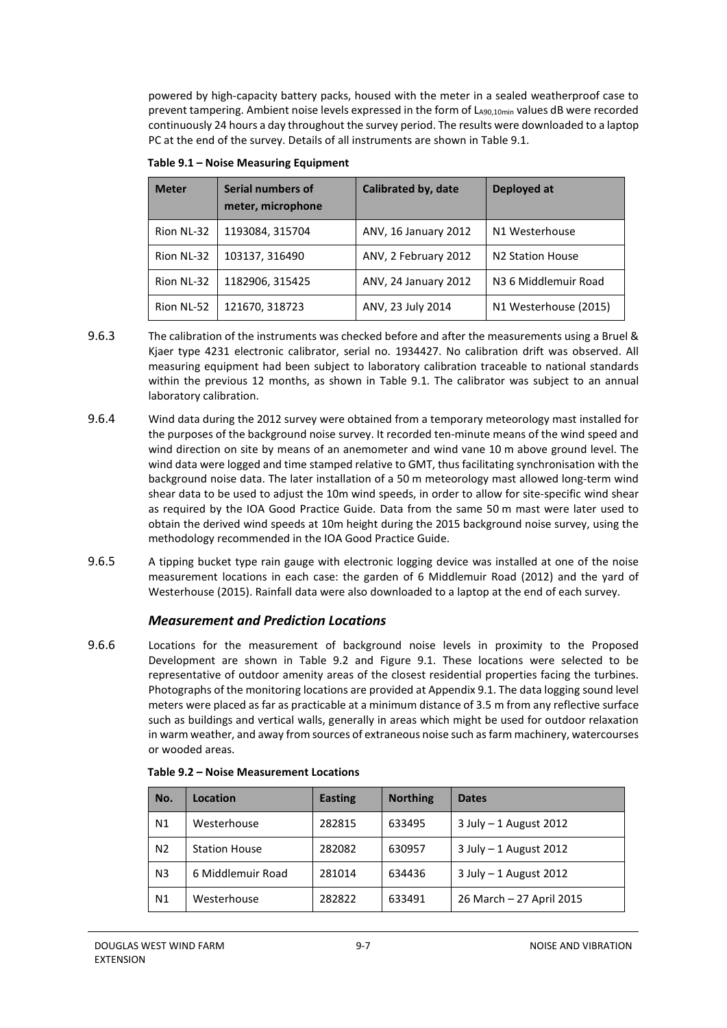powered by high-capacity battery packs, housed with the meter in a sealed weatherproof case to prevent tampering. Ambient noise levels expressed in the form of LA90,10min values dB were recorded continuously 24 hours a day throughout the survey period. The results were downloaded to a laptop PC at the end of the survey. Details of all instruments are shown in Table 9.1.

| <b>Meter</b> | Serial numbers of<br>meter, microphone | <b>Calibrated by, date</b> | Deployed at                  |
|--------------|----------------------------------------|----------------------------|------------------------------|
| Rion NL-32   | 1193084, 315704                        | ANV, 16 January 2012       | N1 Westerhouse               |
| Rion NL-32   | 103137, 316490                         | ANV, 2 February 2012       | N <sub>2</sub> Station House |
| Rion NL-32   | 1182906, 315425                        | ANV, 24 January 2012       | N3 6 Middlemuir Road         |
| Rion NL-52   | 121670, 318723                         | ANV, 23 July 2014          | N1 Westerhouse (2015)        |

|  |  |  | Table 9.1 - Noise Measuring Equipment |
|--|--|--|---------------------------------------|
|--|--|--|---------------------------------------|

- 9.6.3 The calibration of the instruments was checked before and after the measurements using a Bruel & Kjaer type 4231 electronic calibrator, serial no. 1934427. No calibration drift was observed. All measuring equipment had been subject to laboratory calibration traceable to national standards within the previous 12 months, as shown in Table 9.1. The calibrator was subject to an annual laboratory calibration.
- 9.6.4 Wind data during the 2012 survey were obtained from a temporary meteorology mast installed for the purposes of the background noise survey. It recorded ten-minute means of the wind speed and wind direction on site by means of an anemometer and wind vane 10 m above ground level. The wind data were logged and time stamped relative to GMT, thus facilitating synchronisation with the background noise data. The later installation of a 50 m meteorology mast allowed long-term wind shear data to be used to adjust the 10m wind speeds, in order to allow for site-specific wind shear as required by the IOA Good Practice Guide. Data from the same 50 m mast were later used to obtain the derived wind speeds at 10m height during the 2015 background noise survey, using the methodology recommended in the IOA Good Practice Guide.
- 9.6.5 A tipping bucket type rain gauge with electronic logging device was installed at one of the noise measurement locations in each case: the garden of 6 Middlemuir Road (2012) and the yard of Westerhouse (2015). Rainfall data were also downloaded to a laptop at the end of each survey.

# *Measurement and Prediction Locations*

9.6.6 Locations for the measurement of background noise levels in proximity to the Proposed Development are shown in Table 9.2 and Figure 9.1. These locations were selected to be representative of outdoor amenity areas of the closest residential properties facing the turbines. Photographs of the monitoring locations are provided at Appendix 9.1. The data logging sound level meters were placed as far as practicable at a minimum distance of 3.5 m from any reflective surface such as buildings and vertical walls, generally in areas which might be used for outdoor relaxation in warm weather, and away from sources of extraneous noise such as farm machinery, watercourses or wooded areas.

| No.            | Location             | <b>Easting</b> | <b>Northing</b> | <b>Dates</b>             |
|----------------|----------------------|----------------|-----------------|--------------------------|
| N <sub>1</sub> | Westerhouse          | 282815         | 633495          | $3$ July - 1 August 2012 |
| N <sub>2</sub> | <b>Station House</b> | 282082         | 630957          | $3$ July - 1 August 2012 |
| N <sub>3</sub> | 6 Middlemuir Road    | 281014         | 634436          | $3$ July - 1 August 2012 |
| N <sub>1</sub> | Westerhouse          | 282822         | 633491          | 26 March - 27 April 2015 |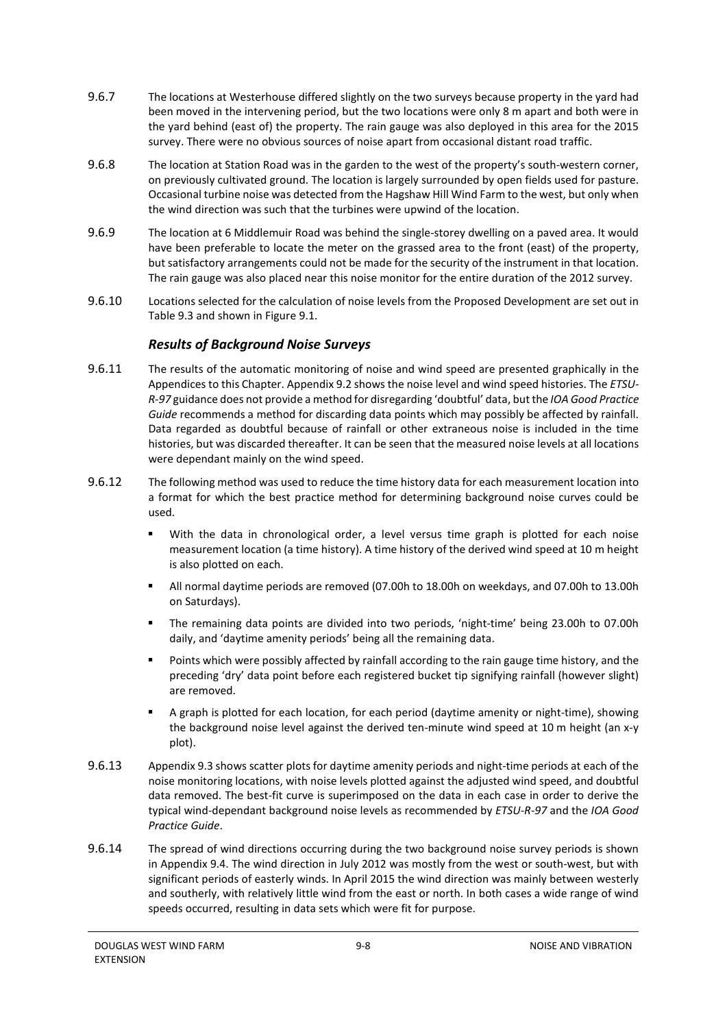- 9.6.7 The locations at Westerhouse differed slightly on the two surveys because property in the yard had been moved in the intervening period, but the two locations were only 8 m apart and both were in the yard behind (east of) the property. The rain gauge was also deployed in this area for the 2015 survey. There were no obvious sources of noise apart from occasional distant road traffic.
- 9.6.8 The location at Station Road was in the garden to the west of the property's south-western corner, on previously cultivated ground. The location is largely surrounded by open fields used for pasture. Occasional turbine noise was detected from the Hagshaw Hill Wind Farm to the west, but only when the wind direction was such that the turbines were upwind of the location.
- 9.6.9 The location at 6 Middlemuir Road was behind the single-storey dwelling on a paved area. It would have been preferable to locate the meter on the grassed area to the front (east) of the property, but satisfactory arrangements could not be made for the security of the instrument in that location. The rain gauge was also placed near this noise monitor for the entire duration of the 2012 survey.
- 9.6.10 Locations selected for the calculation of noise levels from the Proposed Development are set out in Table 9.3 and shown in Figure 9.1.

#### *Results of Background Noise Surveys*

- 9.6.11 The results of the automatic monitoring of noise and wind speed are presented graphically in the Appendices to this Chapter. Appendix 9.2 shows the noise level and wind speed histories. The *ETSU-R-97* guidance does not provide a method for disregarding 'doubtful' data, but the *IOA Good Practice Guide* recommends a method for discarding data points which may possibly be affected by rainfall. Data regarded as doubtful because of rainfall or other extraneous noise is included in the time histories, but was discarded thereafter. It can be seen that the measured noise levels at all locations were dependant mainly on the wind speed.
- 9.6.12 The following method was used to reduce the time history data for each measurement location into a format for which the best practice method for determining background noise curves could be used.
	- With the data in chronological order, a level versus time graph is plotted for each noise measurement location (a time history). A time history of the derived wind speed at 10 m height is also plotted on each.
	- All normal daytime periods are removed (07.00h to 18.00h on weekdays, and 07.00h to 13.00h on Saturdays).
	- The remaining data points are divided into two periods, 'night-time' being 23.00h to 07.00h daily, and 'daytime amenity periods' being all the remaining data.
	- **Points which were possibly affected by rainfall according to the rain gauge time history, and the** preceding 'dry' data point before each registered bucket tip signifying rainfall (however slight) are removed.
	- A graph is plotted for each location, for each period (daytime amenity or night-time), showing the background noise level against the derived ten-minute wind speed at 10 m height (an x-y plot).
- 9.6.13 Appendix 9.3 shows scatter plots for daytime amenity periods and night-time periods at each of the noise monitoring locations, with noise levels plotted against the adjusted wind speed, and doubtful data removed. The best-fit curve is superimposed on the data in each case in order to derive the typical wind-dependant background noise levels as recommended by *ETSU-R-97* and the *IOA Good Practice Guide*.
- 9.6.14 The spread of wind directions occurring during the two background noise survey periods is shown in Appendix 9.4. The wind direction in July 2012 was mostly from the west or south-west, but with significant periods of easterly winds. In April 2015 the wind direction was mainly between westerly and southerly, with relatively little wind from the east or north. In both cases a wide range of wind speeds occurred, resulting in data sets which were fit for purpose.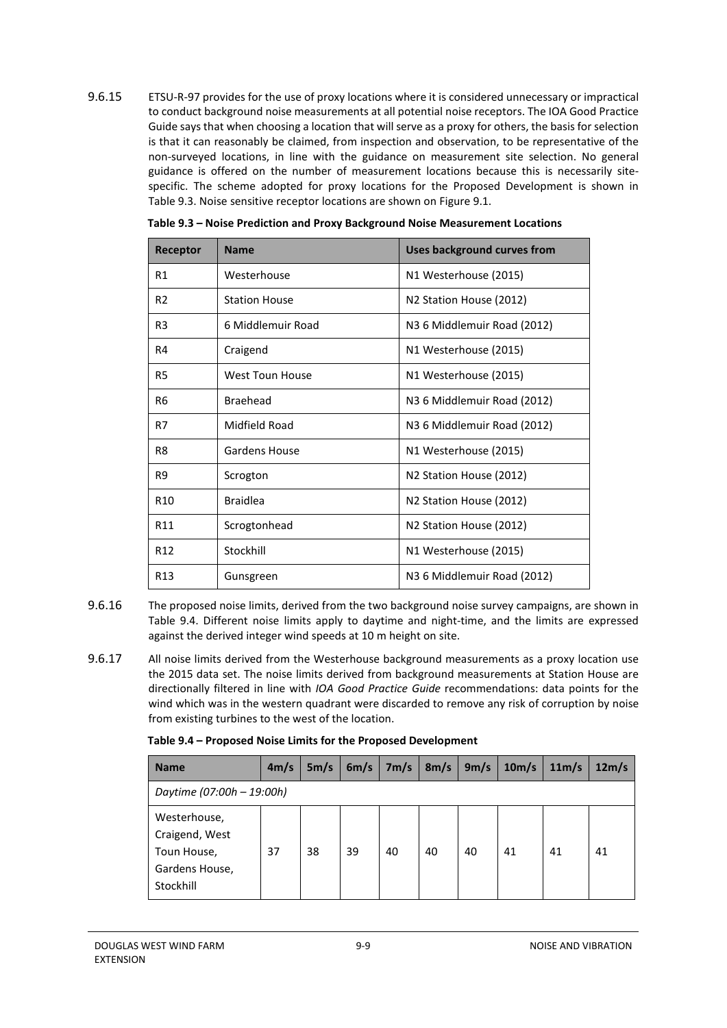9.6.15 ETSU-R-97 provides for the use of proxy locations where it is considered unnecessary or impractical to conduct background noise measurements at all potential noise receptors. The IOA Good Practice Guide says that when choosing a location that will serve as a proxy for others, the basis for selection is that it can reasonably be claimed, from inspection and observation, to be representative of the non-surveyed locations, in line with the guidance on measurement site selection. No general guidance is offered on the number of measurement locations because this is necessarily sitespecific. The scheme adopted for proxy locations for the Proposed Development is shown in Table 9.3. Noise sensitive receptor locations are shown on Figure 9.1.

| Receptor        | <b>Name</b>            | Uses background curves from         |
|-----------------|------------------------|-------------------------------------|
| R1              | Westerhouse            | N1 Westerhouse (2015)               |
| R <sub>2</sub>  | <b>Station House</b>   | N <sub>2</sub> Station House (2012) |
| R <sub>3</sub>  | 6 Middlemuir Road      | N3 6 Middlemuir Road (2012)         |
| R4              | Craigend               | N1 Westerhouse (2015)               |
| R <sub>5</sub>  | <b>West Toun House</b> | N1 Westerhouse (2015)               |
| R <sub>6</sub>  | <b>Braehead</b>        | N3 6 Middlemuir Road (2012)         |
| R7              | Midfield Road          | N3 6 Middlemuir Road (2012)         |
| R <sub>8</sub>  | Gardens House          | N1 Westerhouse (2015)               |
| R9              | Scrogton               | N <sub>2</sub> Station House (2012) |
| R <sub>10</sub> | <b>Braidlea</b>        | N <sub>2</sub> Station House (2012) |
| R <sub>11</sub> | Scrogtonhead           | N <sub>2</sub> Station House (2012) |
| R <sub>12</sub> | Stockhill              | N1 Westerhouse (2015)               |
| R <sub>13</sub> | Gunsgreen              | N3 6 Middlemuir Road (2012)         |

**Table 9.3 – Noise Prediction and Proxy Background Noise Measurement Locations**

- 9.6.16 The proposed noise limits, derived from the two background noise survey campaigns, are shown in Table 9.4. Different noise limits apply to daytime and night-time, and the limits are expressed against the derived integer wind speeds at 10 m height on site.
- 9.6.17 All noise limits derived from the Westerhouse background measurements as a proxy location use the 2015 data set. The noise limits derived from background measurements at Station House are directionally filtered in line with *IOA Good Practice Guide* recommendations: data points for the wind which was in the western quadrant were discarded to remove any risk of corruption by noise from existing turbines to the west of the location.

|  | Table 9.4 - Proposed Noise Limits for the Proposed Development |  |  |  |
|--|----------------------------------------------------------------|--|--|--|
|--|----------------------------------------------------------------|--|--|--|

| <b>Name</b>                                                                  | 4m/s | 5m/s | 6m/s | 7m/s | 8m/s | 9m/s | 10 <sub>m</sub> /s | 11m/s | 12m/s |
|------------------------------------------------------------------------------|------|------|------|------|------|------|--------------------|-------|-------|
| Daytime (07:00h - 19:00h)                                                    |      |      |      |      |      |      |                    |       |       |
| Westerhouse,<br>Craigend, West<br>Toun House,<br>Gardens House,<br>Stockhill | 37   | 38   | 39   | 40   | 40   | 40   | 41                 | 41    | 41    |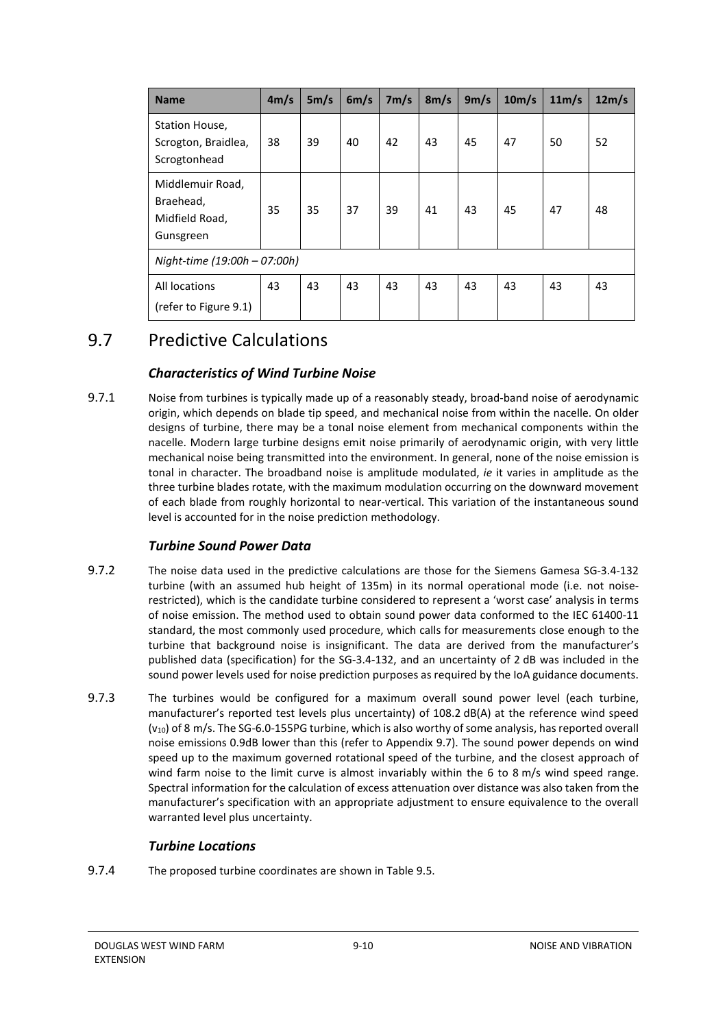| <b>Name</b>                                                  | 4m/s | 5m/s | 6m/s | 7m/s | 8m/s | 9m/s | 10 <sub>m</sub> /s | 11m/s | 12m/s |
|--------------------------------------------------------------|------|------|------|------|------|------|--------------------|-------|-------|
| Station House,<br>Scrogton, Braidlea,<br>Scrogtonhead        | 38   | 39   | 40   | 42   | 43   | 45   | 47                 | 50    | 52    |
| Middlemuir Road,<br>Braehead,<br>Midfield Road,<br>Gunsgreen | 35   | 35   | 37   | 39   | 41   | 43   | 45                 | 47    | 48    |
| Night-time (19:00h - 07:00h)                                 |      |      |      |      |      |      |                    |       |       |
| All locations<br>(refer to Figure 9.1)                       | 43   | 43   | 43   | 43   | 43   | 43   | 43                 | 43    | 43    |

# <span id="page-11-0"></span>9.7 Predictive Calculations

# *Characteristics of Wind Turbine Noise*

9.7.1 Noise from turbines is typically made up of a reasonably steady, broad-band noise of aerodynamic origin, which depends on blade tip speed, and mechanical noise from within the nacelle. On older designs of turbine, there may be a tonal noise element from mechanical components within the nacelle. Modern large turbine designs emit noise primarily of aerodynamic origin, with very little mechanical noise being transmitted into the environment. In general, none of the noise emission is tonal in character. The broadband noise is amplitude modulated, *ie* it varies in amplitude as the three turbine blades rotate, with the maximum modulation occurring on the downward movement of each blade from roughly horizontal to near-vertical. This variation of the instantaneous sound level is accounted for in the noise prediction methodology.

# *Turbine Sound Power Data*

- 9.7.2 The noise data used in the predictive calculations are those for the Siemens Gamesa SG-3.4-132 turbine (with an assumed hub height of 135m) in its normal operational mode (i.e. not noiserestricted), which is the candidate turbine considered to represent a 'worst case' analysis in terms of noise emission. The method used to obtain sound power data conformed to the IEC 61400-11 standard, the most commonly used procedure, which calls for measurements close enough to the turbine that background noise is insignificant. The data are derived from the manufacturer's published data (specification) for the SG-3.4-132, and an uncertainty of 2 dB was included in the sound power levels used for noise prediction purposes as required by the IoA guidance documents.
- 9.7.3 The turbines would be configured for a maximum overall sound power level (each turbine, manufacturer's reported test levels plus uncertainty) of 108.2 dB(A) at the reference wind speed (v<sub>10</sub>) of 8 m/s. The SG-6.0-155PG turbine, which is also worthy of some analysis, has reported overall noise emissions 0.9dB lower than this (refer to Appendix 9.7). The sound power depends on wind speed up to the maximum governed rotational speed of the turbine, and the closest approach of wind farm noise to the limit curve is almost invariably within the 6 to 8 m/s wind speed range. Spectral information for the calculation of excess attenuation over distance was also taken from the manufacturer's specification with an appropriate adjustment to ensure equivalence to the overall warranted level plus uncertainty.

### *Turbine Locations*

9.7.4 The proposed turbine coordinates are shown in Table 9.5.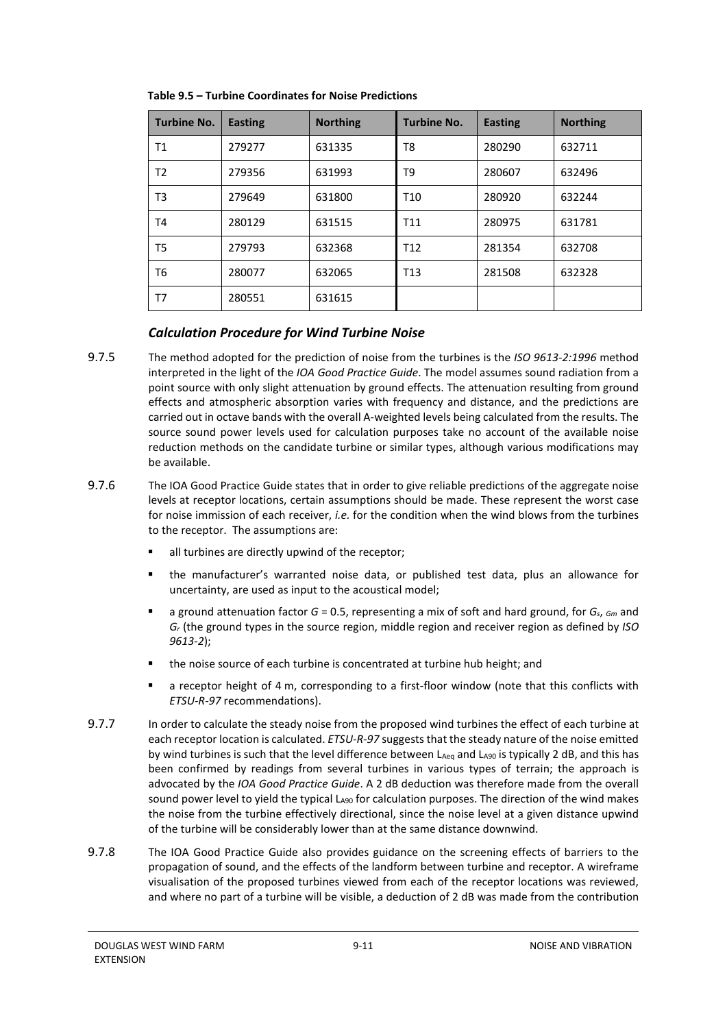| <b>Turbine No.</b> | <b>Easting</b> | <b>Northing</b> | <b>Turbine No.</b> | <b>Easting</b> | <b>Northing</b> |
|--------------------|----------------|-----------------|--------------------|----------------|-----------------|
| T1                 | 279277         | 631335          | T8                 | 280290         | 632711          |
| T <sub>2</sub>     | 279356         | 631993          | T9                 | 280607         | 632496          |
| T <sub>3</sub>     | 279649         | 631800          | T <sub>10</sub>    | 280920         | 632244          |
| T <sub>4</sub>     | 280129         | 631515          | T <sub>11</sub>    | 280975         | 631781          |
| T <sub>5</sub>     | 279793         | 632368          | T <sub>12</sub>    | 281354         | 632708          |
| T6                 | 280077         | 632065          | T <sub>13</sub>    | 281508         | 632328          |
| T7                 | 280551         | 631615          |                    |                |                 |

**Table 9.5 – Turbine Coordinates for Noise Predictions**

## *Calculation Procedure for Wind Turbine Noise*

- 9.7.5 The method adopted for the prediction of noise from the turbines is the *ISO 9613-2:1996* method interpreted in the light of the *IOA Good Practice Guide*. The model assumes sound radiation from a point source with only slight attenuation by ground effects. The attenuation resulting from ground effects and atmospheric absorption varies with frequency and distance, and the predictions are carried out in octave bands with the overall A-weighted levels being calculated from the results. The source sound power levels used for calculation purposes take no account of the available noise reduction methods on the candidate turbine or similar types, although various modifications may be available.
- 9.7.6 The IOA Good Practice Guide states that in order to give reliable predictions of the aggregate noise levels at receptor locations, certain assumptions should be made. These represent the worst case for noise immission of each receiver, *i.e.* for the condition when the wind blows from the turbines to the receptor. The assumptions are:
	- all turbines are directly upwind of the receptor;
	- the manufacturer's warranted noise data, or published test data, plus an allowance for uncertainty, are used as input to the acoustical model;
	- a ground attenuation factor *G* = 0.5, representing a mix of soft and hard ground, for *Gs*, *Gm* and *Gr* (the ground types in the source region, middle region and receiver region as defined by *ISO 9613-2*);
	- the noise source of each turbine is concentrated at turbine hub height; and
	- a receptor height of 4 m, corresponding to a first-floor window (note that this conflicts with *ETSU-R-97* recommendations).
- 9.7.7 In order to calculate the steady noise from the proposed wind turbines the effect of each turbine at each receptor location is calculated. *ETSU-R-97* suggests that the steady nature of the noise emitted by wind turbines is such that the level difference between L<sub>Aeq</sub> and L<sub>A90</sub> is typically 2 dB, and this has been confirmed by readings from several turbines in various types of terrain; the approach is advocated by the *IOA Good Practice Guide*. A 2 dB deduction was therefore made from the overall sound power level to yield the typical LA90 for calculation purposes. The direction of the wind makes the noise from the turbine effectively directional, since the noise level at a given distance upwind of the turbine will be considerably lower than at the same distance downwind.
- 9.7.8 The IOA Good Practice Guide also provides guidance on the screening effects of barriers to the propagation of sound, and the effects of the landform between turbine and receptor. A wireframe visualisation of the proposed turbines viewed from each of the receptor locations was reviewed, and where no part of a turbine will be visible, a deduction of 2 dB was made from the contribution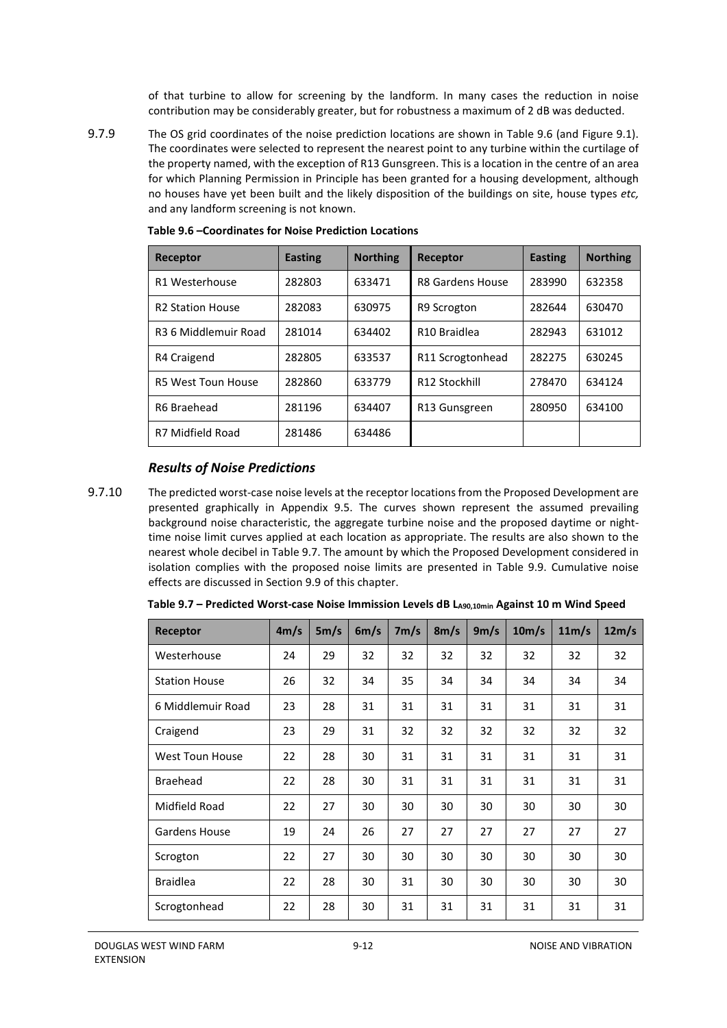of that turbine to allow for screening by the landform. In many cases the reduction in noise contribution may be considerably greater, but for robustness a maximum of 2 dB was deducted.

9.7.9 The OS grid coordinates of the noise prediction locations are shown in Table 9.6 (and Figure 9.1). The coordinates were selected to represent the nearest point to any turbine within the curtilage of the property named, with the exception of R13 Gunsgreen. This is a location in the centre of an area for which Planning Permission in Principle has been granted for a housing development, although no houses have yet been built and the likely disposition of the buildings on site, house types *etc,*  and any landform screening is not known.

| Receptor                | <b>Easting</b> | <b>Northing</b> | Receptor                 | <b>Easting</b> | <b>Northing</b> |
|-------------------------|----------------|-----------------|--------------------------|----------------|-----------------|
| R1 Westerhouse          | 282803         | 633471          | <b>R8 Gardens House</b>  | 283990         | 632358          |
| <b>R2 Station House</b> | 282083         | 630975          | R9 Scrogton              | 282644         | 630470          |
| R3 6 Middlemuir Road    | 281014         | 634402          | R <sub>10</sub> Braidlea | 282943         | 631012          |
| R4 Craigend             | 282805         | 633537          | R11 Scrogtonhead         | 282275         | 630245          |
| R5 West Toun House      | 282860         | 633779          | R12 Stockhill            | 278470         | 634124          |
| R6 Braehead             | 281196         | 634407          | R13 Gunsgreen            | 280950         | 634100          |
| R7 Midfield Road        | 281486         | 634486          |                          |                |                 |

**Table 9.6 –Coordinates for Noise Prediction Locations**

# *Results of Noise Predictions*

9.7.10 The predicted worst-case noise levels at the receptor locations from the Proposed Development are presented graphically in Appendix 9.5. The curves shown represent the assumed prevailing background noise characteristic, the aggregate turbine noise and the proposed daytime or nighttime noise limit curves applied at each location as appropriate. The results are also shown to the nearest whole decibel in Table 9.7. The amount by which the Proposed Development considered in isolation complies with the proposed noise limits are presented in Table 9.9. Cumulative noise effects are discussed in Section 9.9 of this chapter.

| Receptor               | 4m/s | 5m/s | 6m/s | 7m/s | 8m/s | 9m/s | 10 <sub>m</sub> /s | 11m/s | 12m/s |
|------------------------|------|------|------|------|------|------|--------------------|-------|-------|
| Westerhouse            | 24   | 29   | 32   | 32   | 32   | 32   | 32                 | 32    | 32    |
| <b>Station House</b>   | 26   | 32   | 34   | 35   | 34   | 34   | 34                 | 34    | 34    |
| 6 Middlemuir Road      | 23   | 28   | 31   | 31   | 31   | 31   | 31                 | 31    | 31    |
| Craigend               | 23   | 29   | 31   | 32   | 32   | 32   | 32                 | 32    | 32    |
| <b>West Toun House</b> | 22   | 28   | 30   | 31   | 31   | 31   | 31                 | 31    | 31    |
| <b>Braehead</b>        | 22   | 28   | 30   | 31   | 31   | 31   | 31                 | 31    | 31    |
| Midfield Road          | 22   | 27   | 30   | 30   | 30   | 30   | 30                 | 30    | 30    |
| <b>Gardens House</b>   | 19   | 24   | 26   | 27   | 27   | 27   | 27                 | 27    | 27    |
| Scrogton               | 22   | 27   | 30   | 30   | 30   | 30   | 30                 | 30    | 30    |
| <b>Braidlea</b>        | 22   | 28   | 30   | 31   | 30   | 30   | 30                 | 30    | 30    |
| Scrogtonhead           | 22   | 28   | 30   | 31   | 31   | 31   | 31                 | 31    | 31    |

**Table 9.7 – Predicted Worst-case Noise Immission Levels dB LA90,10min Against 10 m Wind Speed**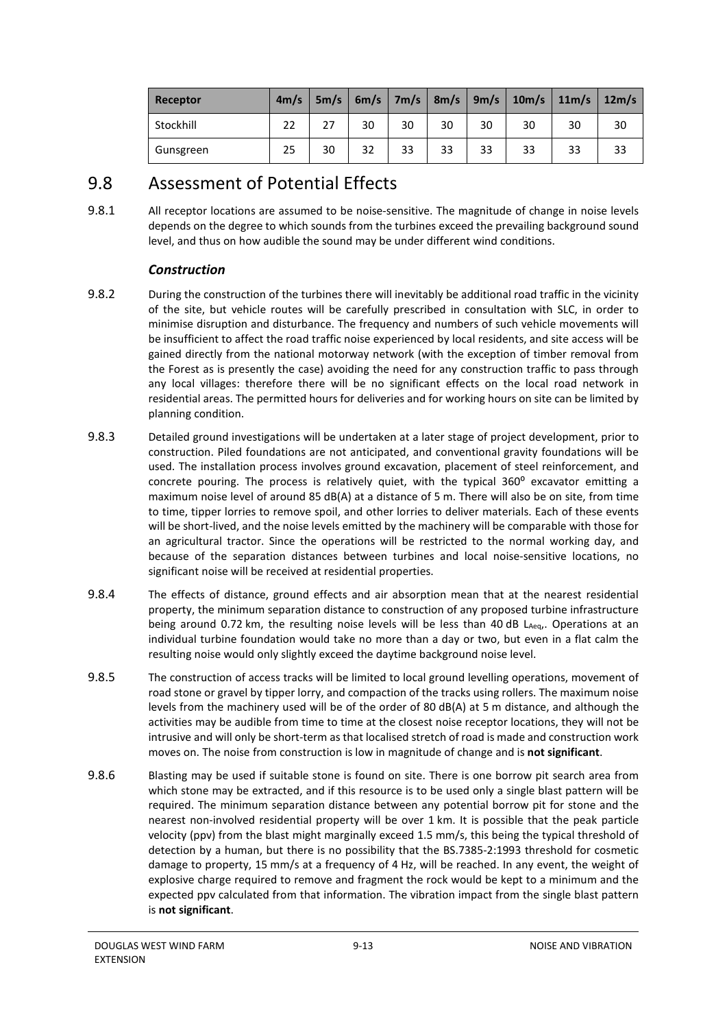| Receptor  | 4m/s |    |    |    |    |    |    | 5m/s   6m/s   7m/s   8m/s   9m/s   10m/s   11m/s   12m/s |    |
|-----------|------|----|----|----|----|----|----|----------------------------------------------------------|----|
| Stockhill | 22   |    | 30 | 30 | 30 | 30 | 30 | 30                                                       | 30 |
| Gunsgreen | 25   | 30 | 32 | 33 | 33 | 33 | 33 | 33                                                       | 33 |

# <span id="page-14-0"></span>9.8 Assessment of Potential Effects

9.8.1 All receptor locations are assumed to be noise-sensitive. The magnitude of change in noise levels depends on the degree to which sounds from the turbines exceed the prevailing background sound level, and thus on how audible the sound may be under different wind conditions.

# *Construction*

- 9.8.2 During the construction of the turbines there will inevitably be additional road traffic in the vicinity of the site, but vehicle routes will be carefully prescribed in consultation with SLC, in order to minimise disruption and disturbance. The frequency and numbers of such vehicle movements will be insufficient to affect the road traffic noise experienced by local residents, and site access will be gained directly from the national motorway network (with the exception of timber removal from the Forest as is presently the case) avoiding the need for any construction traffic to pass through any local villages: therefore there will be no significant effects on the local road network in residential areas. The permitted hours for deliveries and for working hours on site can be limited by planning condition.
- 9.8.3 Detailed ground investigations will be undertaken at a later stage of project development, prior to construction. Piled foundations are not anticipated, and conventional gravity foundations will be used. The installation process involves ground excavation, placement of steel reinforcement, and concrete pouring. The process is relatively quiet, with the typical  $360^\circ$  excavator emitting a maximum noise level of around 85 dB(A) at a distance of 5 m. There will also be on site, from time to time, tipper lorries to remove spoil, and other lorries to deliver materials. Each of these events will be short-lived, and the noise levels emitted by the machinery will be comparable with those for an agricultural tractor. Since the operations will be restricted to the normal working day, and because of the separation distances between turbines and local noise-sensitive locations, no significant noise will be received at residential properties.
- 9.8.4 The effects of distance, ground effects and air absorption mean that at the nearest residential property, the minimum separation distance to construction of any proposed turbine infrastructure being around 0.72 km, the resulting noise levels will be less than 40 dB LAeq,. Operations at an individual turbine foundation would take no more than a day or two, but even in a flat calm the resulting noise would only slightly exceed the daytime background noise level.
- 9.8.5 The construction of access tracks will be limited to local ground levelling operations, movement of road stone or gravel by tipper lorry, and compaction of the tracks using rollers. The maximum noise levels from the machinery used will be of the order of 80 dB(A) at 5 m distance, and although the activities may be audible from time to time at the closest noise receptor locations, they will not be intrusive and will only be short-term as that localised stretch of road is made and construction work moves on. The noise from construction is low in magnitude of change and is **not significant**.
- 9.8.6 Blasting may be used if suitable stone is found on site. There is one borrow pit search area from which stone may be extracted, and if this resource is to be used only a single blast pattern will be required. The minimum separation distance between any potential borrow pit for stone and the nearest non-involved residential property will be over 1 km. It is possible that the peak particle velocity (ppv) from the blast might marginally exceed 1.5 mm/s, this being the typical threshold of detection by a human, but there is no possibility that the BS.7385-2:1993 threshold for cosmetic damage to property, 15 mm/s at a frequency of 4 Hz, will be reached. In any event, the weight of explosive charge required to remove and fragment the rock would be kept to a minimum and the expected ppv calculated from that information. The vibration impact from the single blast pattern is **not significant**.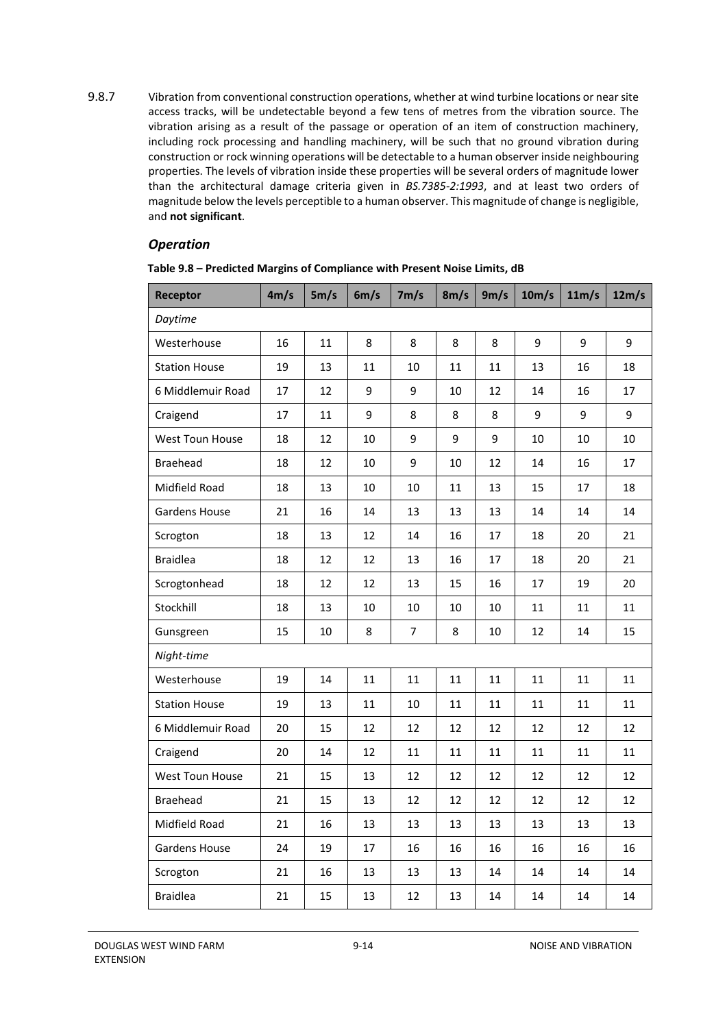9.8.7 Vibration from conventional construction operations, whether at wind turbine locations or near site access tracks, will be undetectable beyond a few tens of metres from the vibration source. The vibration arising as a result of the passage or operation of an item of construction machinery, including rock processing and handling machinery, will be such that no ground vibration during construction or rock winning operations will be detectable to a human observer inside neighbouring properties. The levels of vibration inside these properties will be several orders of magnitude lower than the architectural damage criteria given in *BS.7385-2:1993*, and at least two orders of magnitude below the levels perceptible to a human observer. This magnitude of change is negligible, and **not significant**.

## *Operation*

| Receptor             | 4m/s | 5m/s | 6m/s | 7m/s           | 8m/s | 9m/s | 10 <sub>m</sub> /s | 11m/s | 12m/s |
|----------------------|------|------|------|----------------|------|------|--------------------|-------|-------|
| Daytime              |      |      |      |                |      |      |                    |       |       |
| Westerhouse          | 16   | 11   | 8    | 8              | 8    | 8    | 9                  | 9     | 9     |
| <b>Station House</b> | 19   | 13   | 11   | 10             | 11   | 11   | 13                 | 16    | 18    |
| 6 Middlemuir Road    | 17   | 12   | 9    | 9              | 10   | 12   | 14                 | 16    | 17    |
| Craigend             | 17   | 11   | 9    | 8              | 8    | 8    | 9                  | 9     | 9     |
| West Toun House      | 18   | 12   | 10   | 9              | 9    | 9    | 10                 | 10    | 10    |
| <b>Braehead</b>      | 18   | 12   | 10   | 9              | 10   | 12   | 14                 | 16    | 17    |
| Midfield Road        | 18   | 13   | 10   | 10             | 11   | 13   | 15                 | 17    | 18    |
| Gardens House        | 21   | 16   | 14   | 13             | 13   | 13   | 14                 | 14    | 14    |
| Scrogton             | 18   | 13   | 12   | 14             | 16   | 17   | 18                 | 20    | 21    |
| <b>Braidlea</b>      | 18   | 12   | 12   | 13             | 16   | 17   | 18                 | 20    | 21    |
| Scrogtonhead         | 18   | 12   | 12   | 13             | 15   | 16   | 17                 | 19    | 20    |
| Stockhill            | 18   | 13   | 10   | 10             | 10   | 10   | 11                 | 11    | 11    |
| Gunsgreen            | 15   | 10   | 8    | $\overline{7}$ | 8    | 10   | 12                 | 14    | 15    |
| Night-time           |      |      |      |                |      |      |                    |       |       |
| Westerhouse          | 19   | 14   | 11   | 11             | 11   | 11   | 11                 | 11    | 11    |
| <b>Station House</b> | 19   | 13   | 11   | 10             | 11   | 11   | 11                 | 11    | 11    |
| 6 Middlemuir Road    | 20   | 15   | 12   | 12             | 12   | 12   | 12                 | 12    | 12    |
| Craigend             | 20   | 14   | 12   | 11             | 11   | 11   | 11                 | 11    | 11    |
| West Toun House      | 21   | 15   | 13   | 12             | 12   | 12   | 12                 | 12    | 12    |
| <b>Braehead</b>      | 21   | 15   | 13   | 12             | 12   | 12   | 12                 | 12    | 12    |
| Midfield Road        | 21   | 16   | 13   | 13             | 13   | 13   | 13                 | 13    | 13    |
| Gardens House        | 24   | 19   | 17   | 16             | 16   | 16   | 16                 | 16    | 16    |
| Scrogton             | 21   | 16   | 13   | 13             | 13   | 14   | 14                 | 14    | 14    |
| <b>Braidlea</b>      | 21   | 15   | 13   | 12             | 13   | 14   | 14                 | 14    | 14    |

**Table 9.8 – Predicted Margins of Compliance with Present Noise Limits, dB**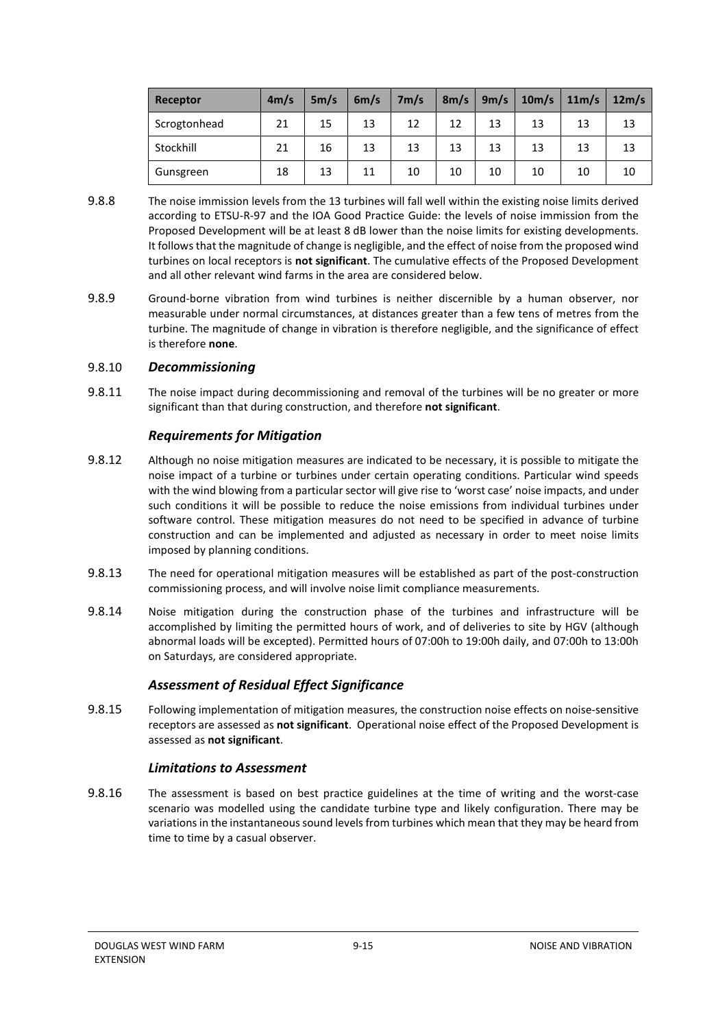| Receptor     | 4m/s | 5m/s | 6m/s | 7m/s | 8m/s | 9m/s | $10m/s$   $11m/s$ |    | 12m/s |
|--------------|------|------|------|------|------|------|-------------------|----|-------|
| Scrogtonhead | 21   | 15   | 13   | 12   | 12   | 13   | 13                | 13 | 13    |
| Stockhill    | 21   | 16   | 13   | 13   | 13   | 13   | 13                | 13 | 13    |
| Gunsgreen    | 18   | 13   | 11   | 10   | 10   | 10   | 10                | 10 | 10    |

- 9.8.8 The noise immission levels from the 13 turbines will fall well within the existing noise limits derived according to ETSU-R-97 and the IOA Good Practice Guide: the levels of noise immission from the Proposed Development will be at least 8 dB lower than the noise limits for existing developments. It follows that the magnitude of change is negligible, and the effect of noise from the proposed wind turbines on local receptors is **not significant**. The cumulative effects of the Proposed Development and all other relevant wind farms in the area are considered below.
- 9.8.9 Ground-borne vibration from wind turbines is neither discernible by a human observer, nor measurable under normal circumstances, at distances greater than a few tens of metres from the turbine. The magnitude of change in vibration is therefore negligible, and the significance of effect is therefore **none**.

#### 9.8.10 *Decommissioning*

9.8.11 The noise impact during decommissioning and removal of the turbines will be no greater or more significant than that during construction, and therefore **not significant**.

### *Requirements for Mitigation*

- 9.8.12 Although no noise mitigation measures are indicated to be necessary, it is possible to mitigate the noise impact of a turbine or turbines under certain operating conditions. Particular wind speeds with the wind blowing from a particular sector will give rise to 'worst case' noise impacts, and under such conditions it will be possible to reduce the noise emissions from individual turbines under software control. These mitigation measures do not need to be specified in advance of turbine construction and can be implemented and adjusted as necessary in order to meet noise limits imposed by planning conditions.
- 9.8.13 The need for operational mitigation measures will be established as part of the post-construction commissioning process, and will involve noise limit compliance measurements.
- 9.8.14 Noise mitigation during the construction phase of the turbines and infrastructure will be accomplished by limiting the permitted hours of work, and of deliveries to site by HGV (although abnormal loads will be excepted). Permitted hours of 07:00h to 19:00h daily, and 07:00h to 13:00h on Saturdays, are considered appropriate.

### *Assessment of Residual Effect Significance*

9.8.15 Following implementation of mitigation measures, the construction noise effects on noise-sensitive receptors are assessed as **not significant**. Operational noise effect of the Proposed Development is assessed as **not significant**.

### *Limitations to Assessment*

<span id="page-16-0"></span>9.8.16 The assessment is based on best practice guidelines at the time of writing and the worst-case scenario was modelled using the candidate turbine type and likely configuration. There may be variations in the instantaneous sound levels from turbines which mean that they may be heard from time to time by a casual observer.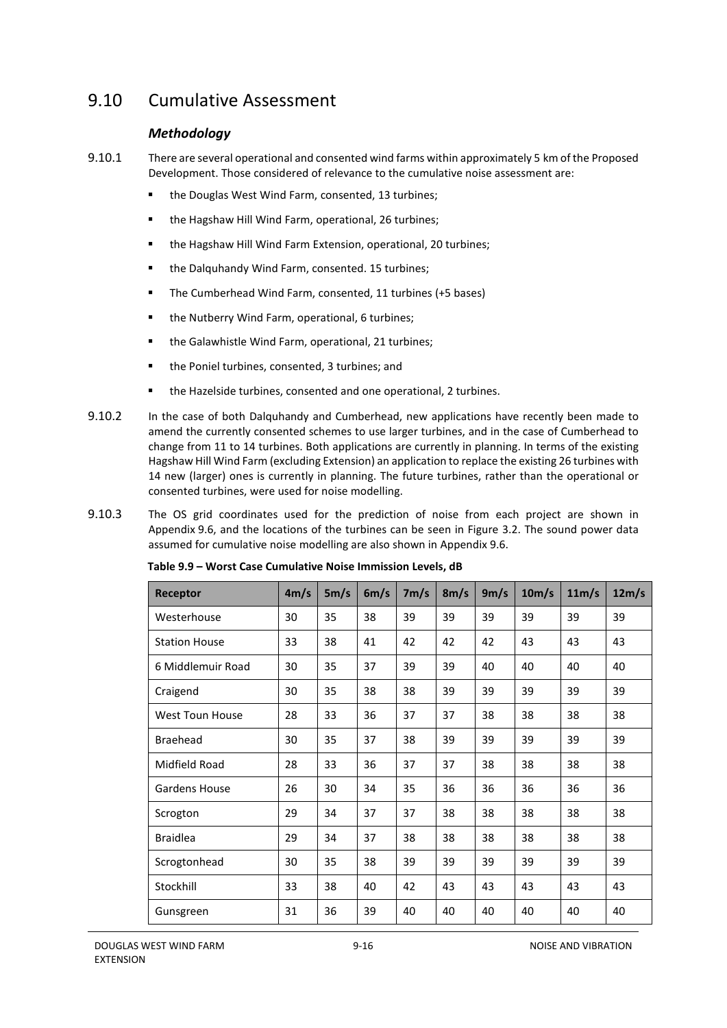# 9.10 Cumulative Assessment

### *Methodology*

9.10.1 There are several operational and consented wind farms within approximately 5 km of the Proposed Development. Those considered of relevance to the cumulative noise assessment are:

- the Douglas West Wind Farm, consented, 13 turbines;
- **the Hagshaw Hill Wind Farm, operational, 26 turbines;**
- **the Hagshaw Hill Wind Farm Extension, operational, 20 turbines;**
- **the Dalquhandy Wind Farm, consented. 15 turbines;**
- The Cumberhead Wind Farm, consented, 11 turbines (+5 bases)
- **the Nutberry Wind Farm, operational, 6 turbines;**
- **the Galawhistle Wind Farm, operational, 21 turbines;**
- the Poniel turbines, consented, 3 turbines; and
- the Hazelside turbines, consented and one operational, 2 turbines.
- 9.10.2 In the case of both Dalquhandy and Cumberhead, new applications have recently been made to amend the currently consented schemes to use larger turbines, and in the case of Cumberhead to change from 11 to 14 turbines. Both applications are currently in planning. In terms of the existing Hagshaw Hill Wind Farm (excluding Extension) an application to replace the existing 26 turbines with 14 new (larger) ones is currently in planning. The future turbines, rather than the operational or consented turbines, were used for noise modelling.
- 9.10.3 The OS grid coordinates used for the prediction of noise from each project are shown in Appendix 9.6, and the locations of the turbines can be seen in Figure 3.2. The sound power data assumed for cumulative noise modelling are also shown in Appendix 9.6.

| <b>Receptor</b>        | 4m/s | 5m/s | 6m/s | 7m/s | 8m/s | 9m/s | 10 <sub>m</sub> /s | 11m/s | 12m/s |
|------------------------|------|------|------|------|------|------|--------------------|-------|-------|
| Westerhouse            | 30   | 35   | 38   | 39   | 39   | 39   | 39                 | 39    | 39    |
| <b>Station House</b>   | 33   | 38   | 41   | 42   | 42   | 42   | 43                 | 43    | 43    |
| 6 Middlemuir Road      | 30   | 35   | 37   | 39   | 39   | 40   | 40                 | 40    | 40    |
| Craigend               | 30   | 35   | 38   | 38   | 39   | 39   | 39                 | 39    | 39    |
| <b>West Toun House</b> | 28   | 33   | 36   | 37   | 37   | 38   | 38                 | 38    | 38    |
| <b>Braehead</b>        | 30   | 35   | 37   | 38   | 39   | 39   | 39                 | 39    | 39    |
| Midfield Road          | 28   | 33   | 36   | 37   | 37   | 38   | 38                 | 38    | 38    |
| <b>Gardens House</b>   | 26   | 30   | 34   | 35   | 36   | 36   | 36                 | 36    | 36    |
| Scrogton               | 29   | 34   | 37   | 37   | 38   | 38   | 38                 | 38    | 38    |
| <b>Braidlea</b>        | 29   | 34   | 37   | 38   | 38   | 38   | 38                 | 38    | 38    |
| Scrogtonhead           | 30   | 35   | 38   | 39   | 39   | 39   | 39                 | 39    | 39    |
| Stockhill              | 33   | 38   | 40   | 42   | 43   | 43   | 43                 | 43    | 43    |
| Gunsgreen              | 31   | 36   | 39   | 40   | 40   | 40   | 40                 | 40    | 40    |

**Table 9.9 – Worst Case Cumulative Noise Immission Levels, dB**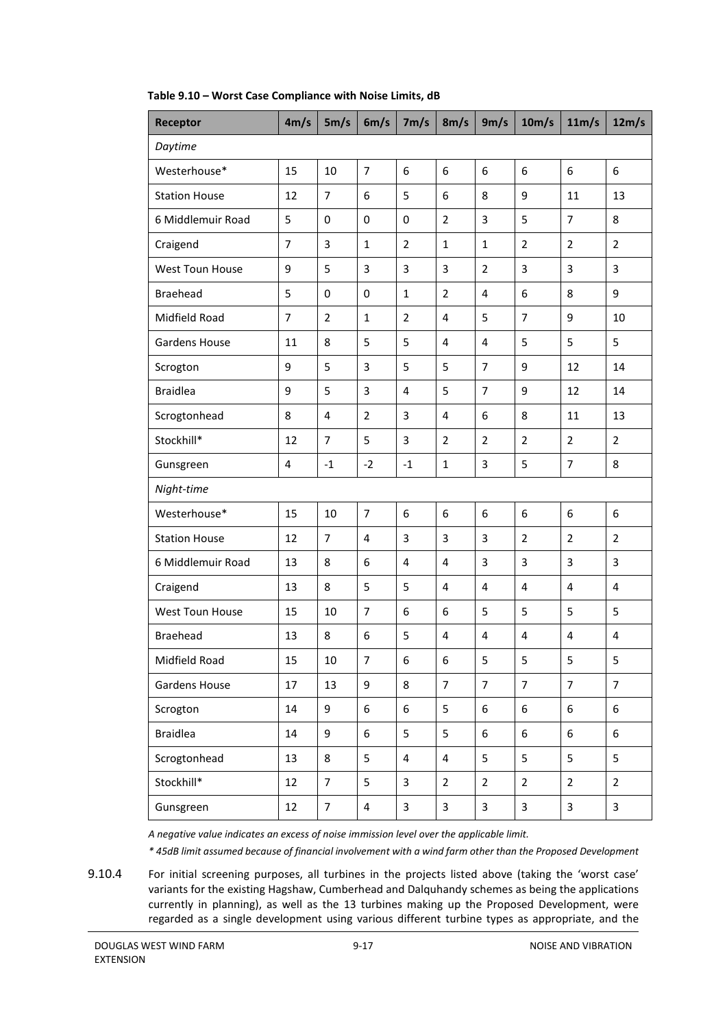| Receptor             | 4m/s           | 5m/s           | 6m/s                    | 7m/s           | 8m/s           | 9m/s           | 10 <sub>m</sub> /s | 11m/s          | 12m/s          |
|----------------------|----------------|----------------|-------------------------|----------------|----------------|----------------|--------------------|----------------|----------------|
| Daytime              |                |                |                         |                |                |                |                    |                |                |
| Westerhouse*         | 15             | 10             | $\overline{7}$          | 6              | 6              | 6              | 6                  | 6              | 6              |
| <b>Station House</b> | 12             | 7              | 6                       | 5              | 6              | 8              | 9                  | 11             | 13             |
| 6 Middlemuir Road    | 5              | 0              | 0                       | 0              | $\overline{2}$ | $\overline{3}$ | 5                  | $\overline{7}$ | 8              |
| Craigend             | $\overline{7}$ | 3              | $\mathbf{1}$            | $\overline{2}$ | $\mathbf{1}$   | $\mathbf{1}$   | $\overline{2}$     | $\overline{2}$ | $\overline{2}$ |
| West Toun House      | 9              | 5              | 3                       | 3              | 3              | $\overline{2}$ | 3                  | 3              | 3              |
| <b>Braehead</b>      | 5              | 0              | 0                       | 1              | $\overline{2}$ | 4              | 6                  | 8              | 9              |
| Midfield Road        | $\overline{7}$ | $\overline{2}$ | $\mathbf{1}$            | $\overline{2}$ | 4              | 5              | $\overline{7}$     | 9              | 10             |
| Gardens House        | 11             | 8              | 5                       | 5              | 4              | 4              | 5                  | 5              | 5              |
| Scrogton             | 9              | 5              | 3                       | 5              | 5              | $\overline{7}$ | 9                  | 12             | 14             |
| <b>Braidlea</b>      | 9              | 5              | 3                       | 4              | 5              | $\overline{7}$ | 9                  | 12             | 14             |
| Scrogtonhead         | 8              | 4              | $\overline{2}$          | 3              | 4              | 6              | 8                  | 11             | 13             |
| Stockhill*           | 12             | $\overline{7}$ | 5                       | 3              | $\overline{2}$ | $\overline{2}$ | $\overline{2}$     | $\overline{2}$ | $\overline{2}$ |
| Gunsgreen            | $\overline{4}$ | $^{\rm -1}$    | $-2$                    | $-1$           | $\mathbf{1}$   | $\overline{3}$ | 5                  | $\overline{7}$ | 8              |
| Night-time           |                |                |                         |                |                |                |                    |                |                |
| Westerhouse*         | 15             | 10             | $\overline{7}$          | 6              | 6              | 6              | 6                  | 6              | 6              |
| <b>Station House</b> | 12             | $\overline{7}$ | $\overline{\mathbf{4}}$ | 3              | $\overline{3}$ | $\overline{3}$ | $\overline{2}$     | $\overline{2}$ | $\overline{2}$ |
| 6 Middlemuir Road    | 13             | 8              | 6                       | 4              | 4              | 3              | 3                  | 3              | 3              |
| Craigend             | 13             | 8              | 5                       | 5              | 4              | 4              | 4                  | 4              | 4              |
| West Toun House      | 15             | 10             | $\overline{7}$          | 6              | 6              | 5              | 5                  | 5              | 5              |
| <b>Braehead</b>      | 13             | 8              | 6                       | 5              | 4              | 4              | 4                  | 4              | 4              |
| Midfield Road        | 15             | $10\,$         | $\overline{7}$          | 6              | 6              | 5              | 5                  | 5              | 5              |
| Gardens House        | 17             | 13             | 9                       | 8              | $\overline{7}$ | $\overline{7}$ | $\overline{7}$     | $\overline{7}$ | $\overline{7}$ |
| Scrogton             | 14             | 9              | 6                       | 6              | 5              | 6              | 6                  | 6              | 6              |
| <b>Braidlea</b>      | 14             | 9              | 6                       | 5              | 5              | 6              | 6                  | 6              | 6              |
| Scrogtonhead         | 13             | 8              | 5                       | 4              | $\overline{4}$ | 5              | 5                  | 5              | 5              |
| Stockhill*           | 12             | $\overline{7}$ | 5                       | 3              | $\overline{2}$ | $\overline{2}$ | $\overline{2}$     | $\overline{2}$ | $\overline{2}$ |
| Gunsgreen            | 12             | $\overline{7}$ | $\overline{\mathbf{4}}$ | 3              | $\mathbf{3}$   | $\mathbf{3}$   | $\mathbf{3}$       | $\mathbf{3}$   | 3              |

#### **Table 9.10 – Worst Case Compliance with Noise Limits, dB**

*A negative value indicates an excess of noise immission level over the applicable limit.* 

*\* 45dB limit assumed because of financial involvement with a wind farm other than the Proposed Development*

9.10.4 For initial screening purposes, all turbines in the projects listed above (taking the 'worst case' variants for the existing Hagshaw, Cumberhead and Dalquhandy schemes as being the applications currently in planning), as well as the 13 turbines making up the Proposed Development, were regarded as a single development using various different turbine types as appropriate, and the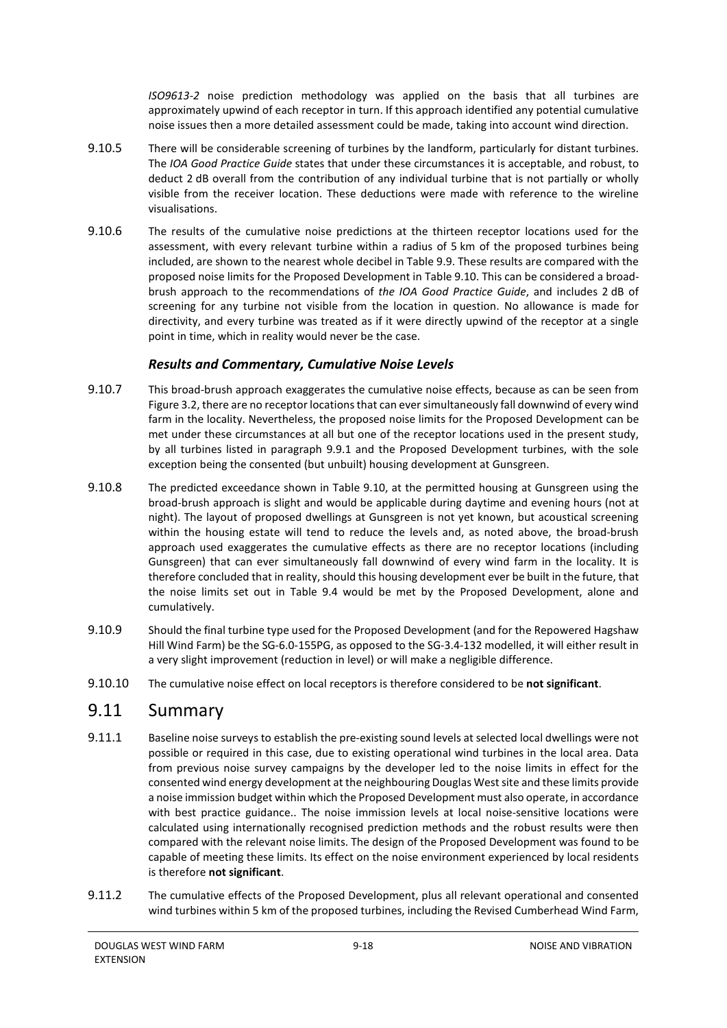*ISO9613-2* noise prediction methodology was applied on the basis that all turbines are approximately upwind of each receptor in turn. If this approach identified any potential cumulative noise issues then a more detailed assessment could be made, taking into account wind direction.

- 9.10.5 There will be considerable screening of turbines by the landform, particularly for distant turbines. The *IOA Good Practice Guide* states that under these circumstances it is acceptable, and robust, to deduct 2 dB overall from the contribution of any individual turbine that is not partially or wholly visible from the receiver location. These deductions were made with reference to the wireline visualisations.
- 9.10.6 The results of the cumulative noise predictions at the thirteen receptor locations used for the assessment, with every relevant turbine within a radius of 5 km of the proposed turbines being included, are shown to the nearest whole decibel in Table 9.9. These results are compared with the proposed noise limits for the Proposed Development in Table 9.10. This can be considered a broadbrush approach to the recommendations of *the IOA Good Practice Guide*, and includes 2 dB of screening for any turbine not visible from the location in question. No allowance is made for directivity, and every turbine was treated as if it were directly upwind of the receptor at a single point in time, which in reality would never be the case.

## *Results and Commentary, Cumulative Noise Levels*

- 9.10.7 This broad-brush approach exaggerates the cumulative noise effects, because as can be seen from Figure 3.2, there are no receptor locations that can ever simultaneously fall downwind of every wind farm in the locality. Nevertheless, the proposed noise limits for the Proposed Development can be met under these circumstances at all but one of the receptor locations used in the present study, by all turbines listed in paragraph 9.9.1 and the Proposed Development turbines, with the sole exception being the consented (but unbuilt) housing development at Gunsgreen.
- 9.10.8 The predicted exceedance shown in Table 9.10, at the permitted housing at Gunsgreen using the broad-brush approach is slight and would be applicable during daytime and evening hours (not at night). The layout of proposed dwellings at Gunsgreen is not yet known, but acoustical screening within the housing estate will tend to reduce the levels and, as noted above, the broad-brush approach used exaggerates the cumulative effects as there are no receptor locations (including Gunsgreen) that can ever simultaneously fall downwind of every wind farm in the locality. It is therefore concluded that in reality, should this housing development ever be built in the future, that the noise limits set out in Table 9.4 would be met by the Proposed Development, alone and cumulatively.
- 9.10.9 Should the final turbine type used for the Proposed Development (and for the Repowered Hagshaw Hill Wind Farm) be the SG-6.0-155PG, as opposed to the SG-3.4-132 modelled, it will either result in a very slight improvement (reduction in level) or will make a negligible difference.
- 9.10.10 The cumulative noise effect on local receptors is therefore considered to be **not significant**.

# <span id="page-19-0"></span>9.11 Summary

- 9.11.1 Baseline noise surveys to establish the pre-existing sound levels at selected local dwellings were not possible or required in this case, due to existing operational wind turbines in the local area. Data from previous noise survey campaigns by the developer led to the noise limits in effect for the consented wind energy development at the neighbouring Douglas West site and these limits provide a noise immission budget within which the Proposed Development must also operate, in accordance with best practice guidance.. The noise immission levels at local noise-sensitive locations were calculated using internationally recognised prediction methods and the robust results were then compared with the relevant noise limits. The design of the Proposed Development was found to be capable of meeting these limits. Its effect on the noise environment experienced by local residents is therefore **not significant**.
- 9.11.2 The cumulative effects of the Proposed Development, plus all relevant operational and consented wind turbines within 5 km of the proposed turbines, including the Revised Cumberhead Wind Farm,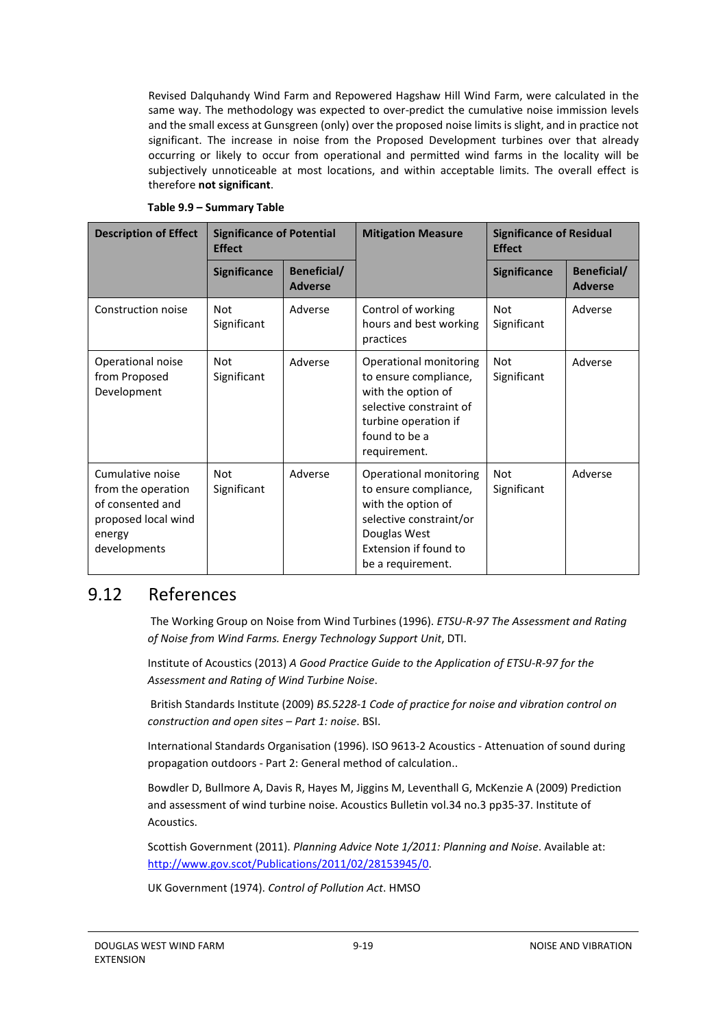Revised Dalquhandy Wind Farm and Repowered Hagshaw Hill Wind Farm, were calculated in the same way. The methodology was expected to over-predict the cumulative noise immission levels and the small excess at Gunsgreen (only) over the proposed noise limits is slight, and in practice not significant. The increase in noise from the Proposed Development turbines over that already occurring or likely to occur from operational and permitted wind farms in the locality will be subjectively unnoticeable at most locations, and within acceptable limits. The overall effect is therefore **not significant**.

| <b>Description of Effect</b>                                                                                | <b>Significance of Potential</b><br><b>Effect</b> |                               | <b>Mitigation Measure</b>                                                                                                                                      | <b>Significance of Residual</b><br><b>Effect</b> |                               |  |
|-------------------------------------------------------------------------------------------------------------|---------------------------------------------------|-------------------------------|----------------------------------------------------------------------------------------------------------------------------------------------------------------|--------------------------------------------------|-------------------------------|--|
|                                                                                                             | <b>Significance</b>                               | Beneficial/<br><b>Adverse</b> |                                                                                                                                                                | <b>Significance</b>                              | Beneficial/<br><b>Adverse</b> |  |
| Construction noise                                                                                          | <b>Not</b><br>Significant                         | Adverse                       | Control of working<br>hours and best working<br>practices                                                                                                      | <b>Not</b><br>Significant                        | Adverse                       |  |
| Operational noise<br>from Proposed<br>Development                                                           | <b>Not</b><br>Significant                         | Adverse                       | Operational monitoring<br>to ensure compliance,<br>with the option of<br>selective constraint of<br>turbine operation if<br>found to be a<br>requirement.      | <b>Not</b><br>Significant                        | Adverse                       |  |
| Cumulative noise<br>from the operation<br>of consented and<br>proposed local wind<br>energy<br>developments | <b>Not</b><br>Significant                         | Adverse                       | Operational monitoring<br>to ensure compliance,<br>with the option of<br>selective constraint/or<br>Douglas West<br>Extension if found to<br>be a requirement. | <b>Not</b><br>Significant                        | Adverse                       |  |

**Table 9.9 – Summary Table**

# <span id="page-20-0"></span>9.12 References

The Working Group on Noise from Wind Turbines (1996). *ETSU-R-97 The Assessment and Rating of Noise from Wind Farms. Energy Technology Support Unit*, DTI.

Institute of Acoustics (2013) *A Good Practice Guide to the Application of ETSU-R-97 for the Assessment and Rating of Wind Turbine Noise*.

British Standards Institute (2009) *BS.5228-1 Code of practice for noise and vibration control on construction and open sites – Part 1: noise*. BSI.

International Standards Organisation (1996). ISO 9613-2 Acoustics - Attenuation of sound during propagation outdoors - Part 2: General method of calculation..

Bowdler D, Bullmore A, Davis R, Hayes M, Jiggins M, Leventhall G, McKenzie A (2009) Prediction and assessment of wind turbine noise. Acoustics Bulletin vol.34 no.3 pp35-37. Institute of Acoustics.

Scottish Government (2011). *Planning Advice Note 1/2011: Planning and Noise*. Available at: [http://www.gov.scot/Publications/2011/02/28153945/0.](http://www.gov.scot/Publications/2011/02/28153945/0)

UK Government (1974). *Control of Pollution Act*. HMSO